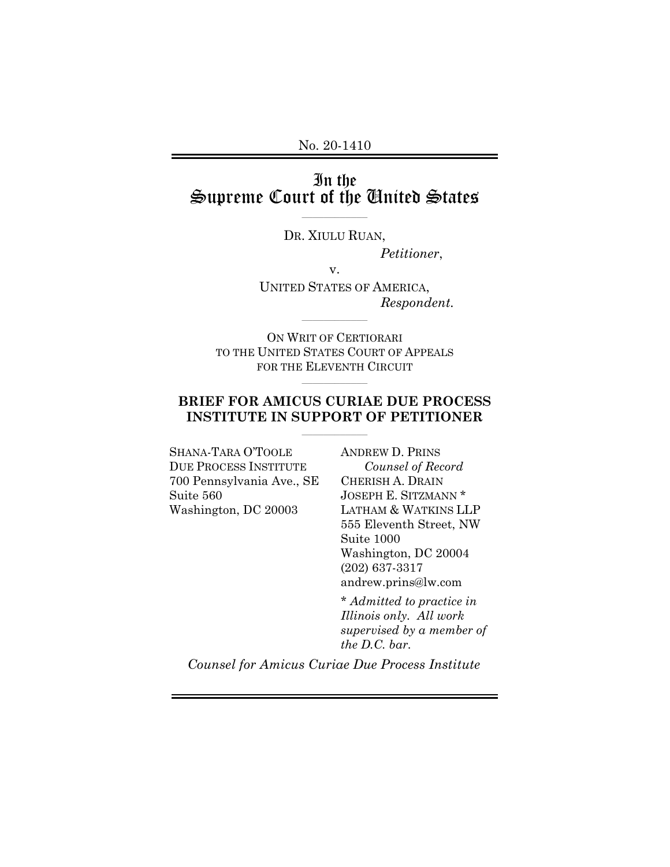No. 20-1410

In the Supreme Court of the United States

> ———————————— DR. XIULU RUAN,

> > v.

*Petitioner*,

UNITED STATES OF AMERICA, *Respondent.*

ON WRIT OF CERTIORARI TO THE UNITED STATES COURT OF APPEALS FOR THE ELEVENTH CIRCUIT

————————————

### **BRIEF FOR AMICUS CURIAE DUE PROCESS INSTITUTE IN SUPPORT OF PETITIONER**

————————————

————————————

SHANA-TARA O'TOOLE DUE PROCESS INSTITUTE 700 Pennsylvania Ave., SE Suite 560 Washington, DC 20003

ANDREW D. PRINS *Counsel of Record*  CHERISH A. DRAIN JOSEPH E. SITZMANN \* LATHAM & WATKINS LLP 555 Eleventh Street, NW Suite 1000 Washington, DC 20004 (202) 637-3317 andrew.prins@lw.com

\* *Admitted to practice in Illinois only. All work supervised by a member of the D.C. bar.* 

*Counsel for Amicus Curiae Due Process Institute*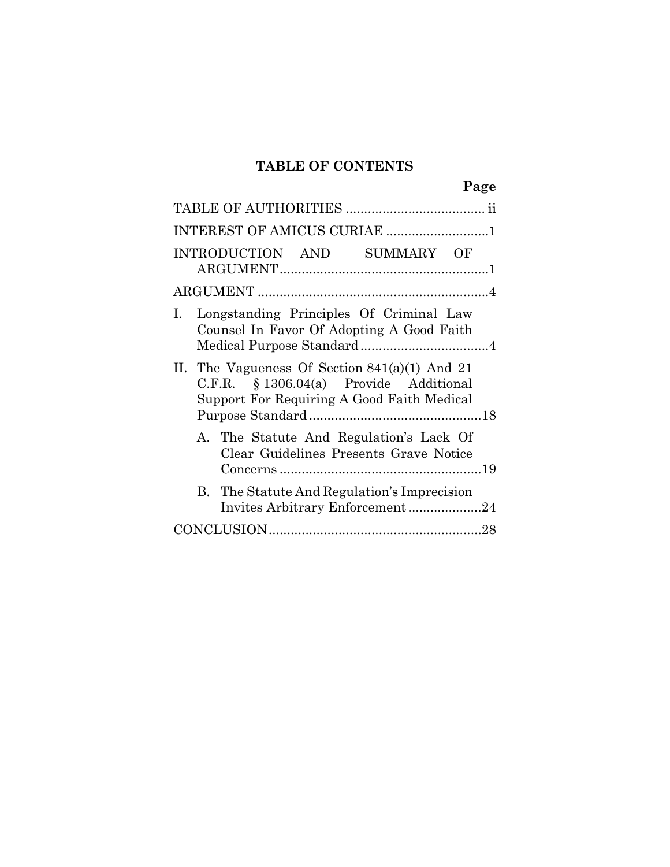## **TABLE OF CONTENTS**

|--|

| INTEREST OF AMICUS CURIAE 1                                                                                                               |  |  |  |  |
|-------------------------------------------------------------------------------------------------------------------------------------------|--|--|--|--|
| INTRODUCTION AND SUMMARY OF                                                                                                               |  |  |  |  |
|                                                                                                                                           |  |  |  |  |
| Longstanding Principles Of Criminal Law<br>L.<br>Counsel In Favor Of Adopting A Good Faith                                                |  |  |  |  |
| II. The Vagueness Of Section $841(a)(1)$ And $21$<br>C.F.R. § 1306.04(a) Provide Additional<br>Support For Requiring A Good Faith Medical |  |  |  |  |
| A. The Statute And Regulation's Lack Of<br>Clear Guidelines Presents Grave Notice                                                         |  |  |  |  |
| B. The Statute And Regulation's Imprecision<br>Invites Arbitrary Enforcement24                                                            |  |  |  |  |
|                                                                                                                                           |  |  |  |  |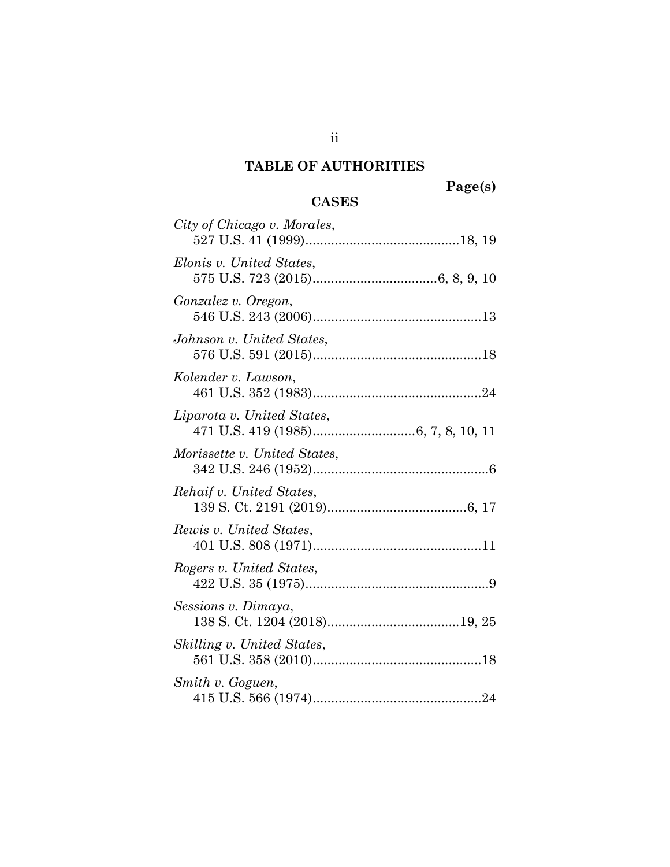## **TABLE OF AUTHORITIES**

# **CASES**

| City of Chicago v. Morales,  |
|------------------------------|
| Elonis v. United States,     |
| Gonzalez v. Oregon,          |
| Johnson v. United States,    |
| Kolender v. Lawson,          |
| Liparota v. United States,   |
| Morissette v. United States, |
| Rehaif v. United States,     |
| Rewis v. United States,      |
| Rogers v. United States,     |
| Sessions v. Dimaya,          |
| Skilling v. United States,   |
| Smith v. Goguen,             |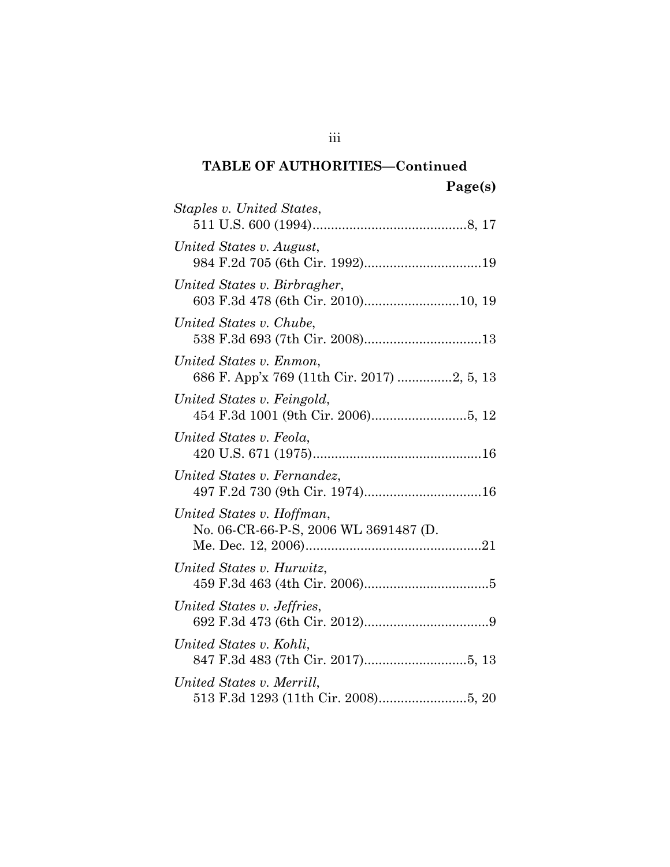| Staples v. United States,                                          |
|--------------------------------------------------------------------|
| United States v. August,                                           |
| United States v. Birbragher,<br>603 F.3d 478 (6th Cir. 2010)10, 19 |
| United States v. Chube,                                            |
| United States v. Enmon,                                            |
| United States v. Feingold,                                         |
| United States v. Feola,                                            |
| United States v. Fernandez,                                        |
| United States v. Hoffman,<br>No. 06-CR-66-P-S, 2006 WL 3691487 (D. |
| United States v. Hurwitz,                                          |
| United States v. Jeffries,                                         |
| United States v. Kohli,                                            |
| United States v. Merrill,                                          |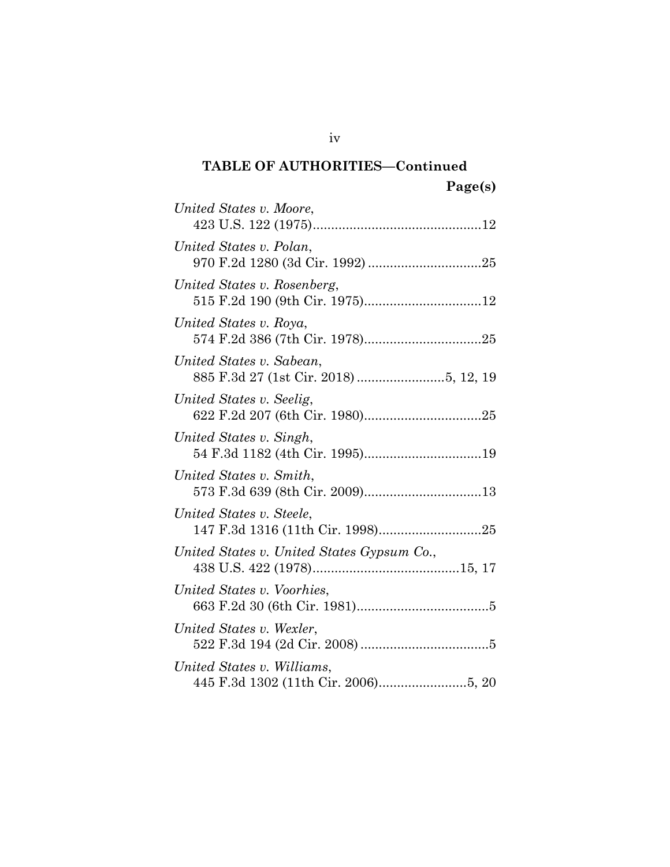| United States v. Moore,                    |
|--------------------------------------------|
| United States v. Polan,                    |
| United States v. Rosenberg,                |
| United States v. Roya,                     |
| United States v. Sabean,                   |
| United States v. Seelig,                   |
| United States v. Singh,                    |
| United States v. Smith,                    |
| United States v. Steele,                   |
| United States v. United States Gypsum Co., |
| United States v. Voorhies,                 |
| United States v. Wexler,                   |
| United States v. Williams,                 |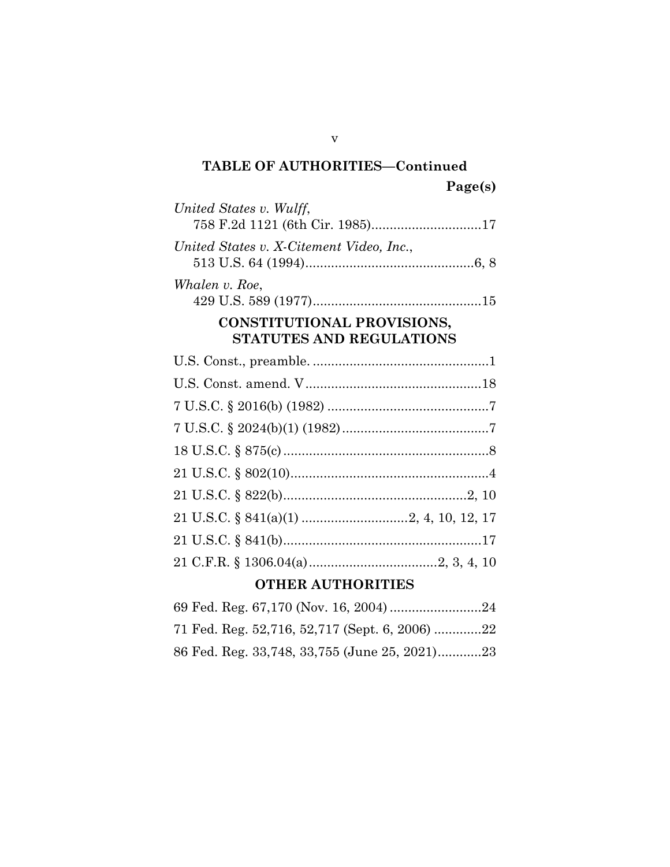| United States v. Wulff,<br>758 F.2d 1121 (6th Cir. 1985)17    |  |  |  |  |
|---------------------------------------------------------------|--|--|--|--|
| United States v. X-Citement Video, Inc.,                      |  |  |  |  |
| Whalen v. Roe,                                                |  |  |  |  |
| CONSTITUTIONAL PROVISIONS,<br><b>STATUTES AND REGULATIONS</b> |  |  |  |  |
|                                                               |  |  |  |  |
|                                                               |  |  |  |  |
|                                                               |  |  |  |  |
|                                                               |  |  |  |  |
|                                                               |  |  |  |  |
|                                                               |  |  |  |  |
|                                                               |  |  |  |  |
|                                                               |  |  |  |  |
|                                                               |  |  |  |  |
|                                                               |  |  |  |  |
| <b>OTHER AUTHORITIES</b>                                      |  |  |  |  |

|  |  |  | 71 Fed. Reg. 52,716, 52,717 (Sept. 6, 2006) 22 |  |
|--|--|--|------------------------------------------------|--|
|  |  |  | 86 Fed. Reg. 33,748, 33,755 (June 25, 2021)23  |  |

v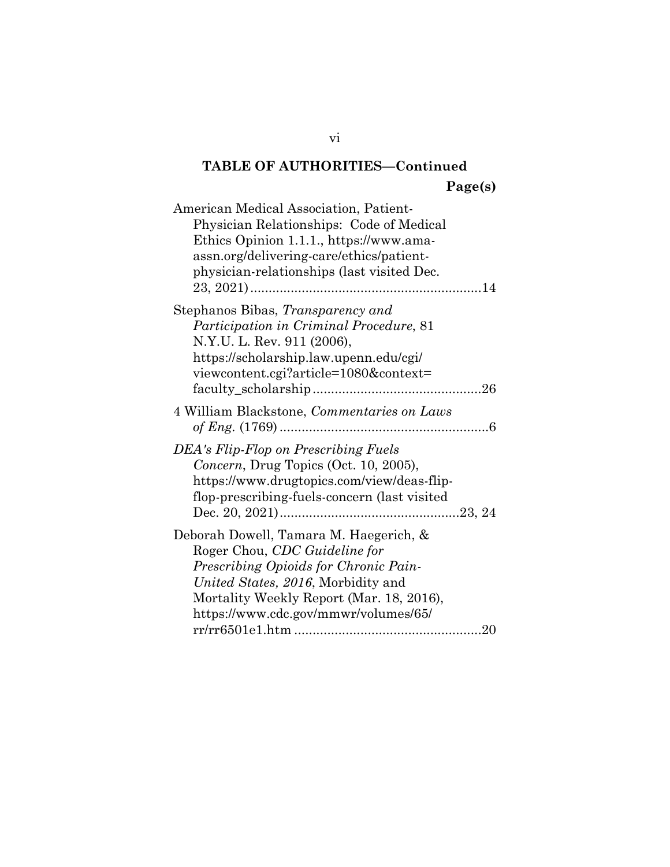| American Medical Association, Patient-<br>Physician Relationships: Code of Medical<br>Ethics Opinion 1.1.1., https://www.ama-<br>assn.org/delivering-care/ethics/patient-<br>physician-relationships (last visited Dec.                    |
|--------------------------------------------------------------------------------------------------------------------------------------------------------------------------------------------------------------------------------------------|
| Stephanos Bibas, Transparency and<br>Participation in Criminal Procedure, 81<br>N.Y.U. L. Rev. 911 (2006),<br>https://scholarship.law.upenn.edu/cgi/<br>viewcontent.cgi?article=1080&context=                                              |
| 4 William Blackstone, Commentaries on Laws                                                                                                                                                                                                 |
| <b>DEA's Flip-Flop on Prescribing Fuels</b><br>Concern, Drug Topics (Oct. 10, 2005),<br>https://www.drugtopics.com/view/deas-flip-<br>flop-prescribing-fuels-concern (last visited                                                         |
| Deborah Dowell, Tamara M. Haegerich, &<br>Roger Chou, CDC Guideline for<br>Prescribing Opioids for Chronic Pain-<br>United States, 2016, Morbidity and<br>Mortality Weekly Report (Mar. 18, 2016),<br>https://www.cdc.gov/mmwr/volumes/65/ |

vi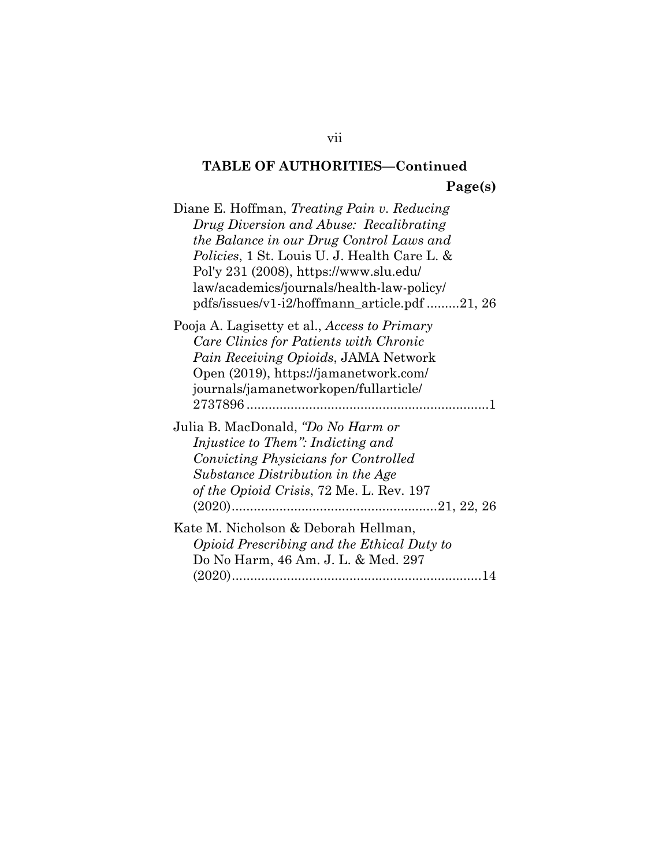| Diane E. Hoffman, Treating Pain v. Reducing<br>Drug Diversion and Abuse: Recalibrating<br>the Balance in our Drug Control Laws and<br><i>Policies</i> , 1 St. Louis U. J. Health Care L. &<br>Pol'y 231 (2008), https://www.slu.edu/<br>law/academics/journals/health-law-policy/<br>pdfs/issues/v1-i2/hoffmann_article.pdf 21, 26 |
|------------------------------------------------------------------------------------------------------------------------------------------------------------------------------------------------------------------------------------------------------------------------------------------------------------------------------------|
| Pooja A. Lagisetty et al., Access to Primary<br>Care Clinics for Patients with Chronic<br><i>Pain Receiving Opioids, JAMA Network</i><br>Open (2019), https://jamanetwork.com/<br>journals/jamanetworkopen/fullarticle/                                                                                                            |
| Julia B. MacDonald, "Do No Harm or<br>Injustice to Them": Indicting and<br>Convicting Physicians for Controlled<br>Substance Distribution in the Age<br>of the Opioid Crisis, 72 Me. L. Rev. 197                                                                                                                                   |
| Kate M. Nicholson & Deborah Hellman,<br>Opioid Prescribing and the Ethical Duty to<br>Do No Harm, 46 Am. J. L. & Med. 297                                                                                                                                                                                                          |

vii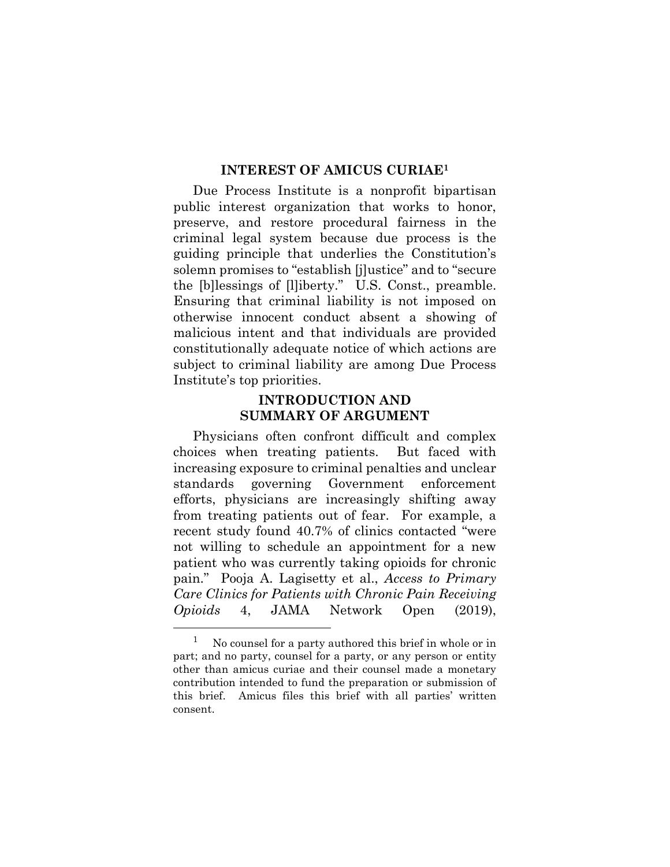#### **INTEREST OF AMICUS CURIAE1**

Due Process Institute is a nonprofit bipartisan public interest organization that works to honor, preserve, and restore procedural fairness in the criminal legal system because due process is the guiding principle that underlies the Constitution's solemn promises to "establish [j]ustice" and to "secure the [b]lessings of [l]iberty." U.S. Const., preamble. Ensuring that criminal liability is not imposed on otherwise innocent conduct absent a showing of malicious intent and that individuals are provided constitutionally adequate notice of which actions are subject to criminal liability are among Due Process Institute's top priorities.

### **INTRODUCTION AND SUMMARY OF ARGUMENT**

Physicians often confront difficult and complex choices when treating patients. But faced with increasing exposure to criminal penalties and unclear standards governing Government enforcement efforts, physicians are increasingly shifting away from treating patients out of fear. For example, a recent study found 40.7% of clinics contacted "were not willing to schedule an appointment for a new patient who was currently taking opioids for chronic pain." Pooja A. Lagisetty et al., *Access to Primary Care Clinics for Patients with Chronic Pain Receiving Opioids* 4, JAMA Network Open (2019),

 $1$  No counsel for a party authored this brief in whole or in part; and no party, counsel for a party, or any person or entity other than amicus curiae and their counsel made a monetary contribution intended to fund the preparation or submission of this brief. Amicus files this brief with all parties' written consent.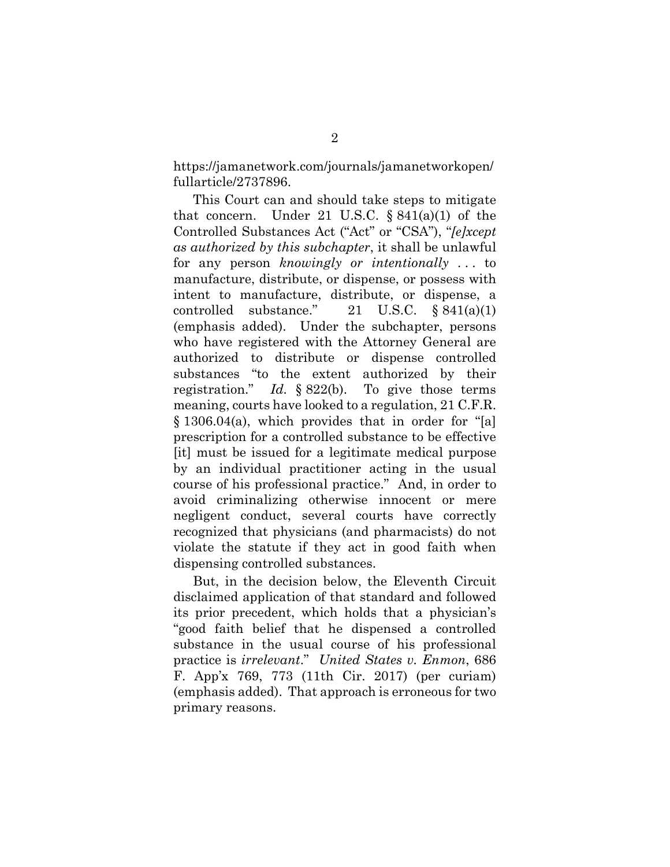https://jamanetwork.com/journals/jamanetworkopen/ fullarticle/2737896.

This Court can and should take steps to mitigate that concern. Under 21 U.S.C.  $\S 841(a)(1)$  of the Controlled Substances Act ("Act" or "CSA"), "*[e]xcept as authorized by this subchapter*, it shall be unlawful for any person *knowingly or intentionally* . . . to manufacture, distribute, or dispense, or possess with intent to manufacture, distribute, or dispense, a controlled substance."  $21$  U.S.C.  $§ 841(a)(1)$ (emphasis added). Under the subchapter, persons who have registered with the Attorney General are authorized to distribute or dispense controlled substances "to the extent authorized by their registration." *Id.* § 822(b). To give those terms meaning, courts have looked to a regulation, 21 C.F.R. § 1306.04(a), which provides that in order for "[a] prescription for a controlled substance to be effective [it] must be issued for a legitimate medical purpose by an individual practitioner acting in the usual course of his professional practice." And, in order to avoid criminalizing otherwise innocent or mere negligent conduct, several courts have correctly recognized that physicians (and pharmacists) do not violate the statute if they act in good faith when dispensing controlled substances.

But, in the decision below, the Eleventh Circuit disclaimed application of that standard and followed its prior precedent, which holds that a physician's "good faith belief that he dispensed a controlled substance in the usual course of his professional practice is *irrelevant*." *United States v. Enmon*, 686 F. App'x 769, 773 (11th Cir. 2017) (per curiam) (emphasis added). That approach is erroneous for two primary reasons.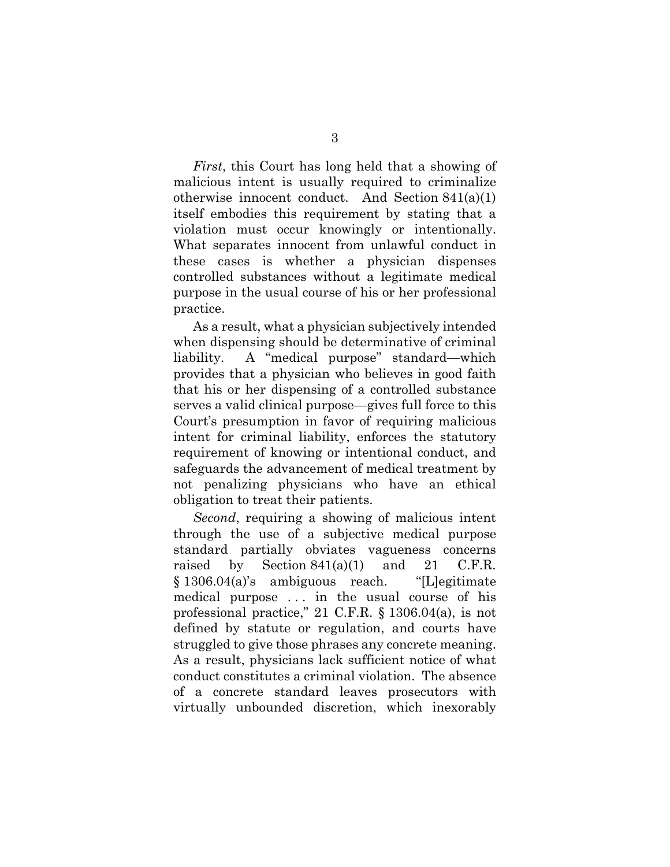*First*, this Court has long held that a showing of malicious intent is usually required to criminalize otherwise innocent conduct. And Section 841(a)(1) itself embodies this requirement by stating that a violation must occur knowingly or intentionally. What separates innocent from unlawful conduct in these cases is whether a physician dispenses controlled substances without a legitimate medical purpose in the usual course of his or her professional practice.

As a result, what a physician subjectively intended when dispensing should be determinative of criminal liability. A "medical purpose" standard—which provides that a physician who believes in good faith that his or her dispensing of a controlled substance serves a valid clinical purpose—gives full force to this Court's presumption in favor of requiring malicious intent for criminal liability, enforces the statutory requirement of knowing or intentional conduct, and safeguards the advancement of medical treatment by not penalizing physicians who have an ethical obligation to treat their patients.

*Second*, requiring a showing of malicious intent through the use of a subjective medical purpose standard partially obviates vagueness concerns raised by Section  $841(a)(1)$  and  $21$  C.F.R. § 1306.04(a)'s ambiguous reach. "[L]egitimate medical purpose . . . in the usual course of his professional practice," 21 C.F.R. § 1306.04(a), is not defined by statute or regulation, and courts have struggled to give those phrases any concrete meaning. As a result, physicians lack sufficient notice of what conduct constitutes a criminal violation. The absence of a concrete standard leaves prosecutors with virtually unbounded discretion, which inexorably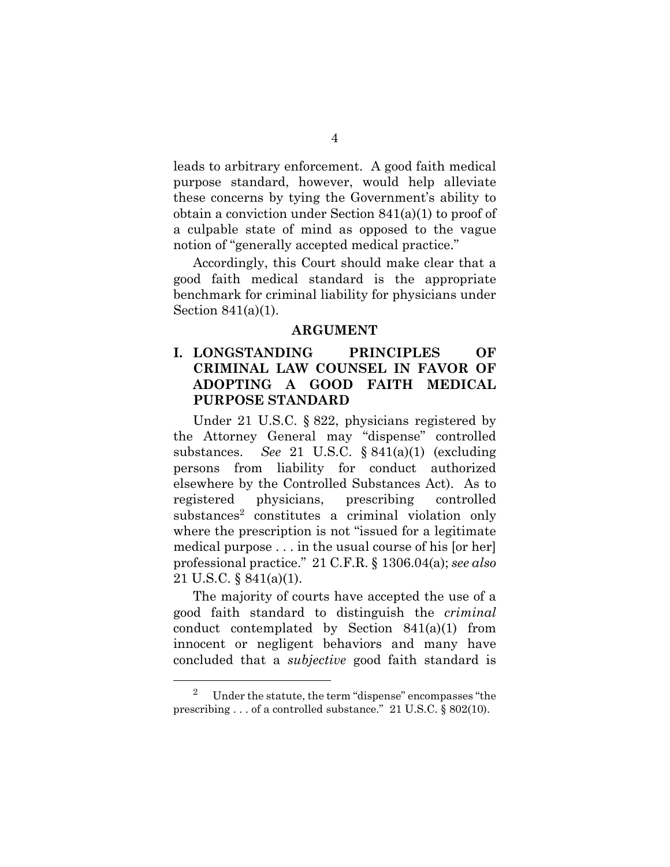leads to arbitrary enforcement. A good faith medical purpose standard, however, would help alleviate these concerns by tying the Government's ability to obtain a conviction under Section 841(a)(1) to proof of a culpable state of mind as opposed to the vague notion of "generally accepted medical practice."

Accordingly, this Court should make clear that a good faith medical standard is the appropriate benchmark for criminal liability for physicians under Section 841(a)(1).

#### **ARGUMENT**

### **I. LONGSTANDING PRINCIPLES OF CRIMINAL LAW COUNSEL IN FAVOR OF ADOPTING A GOOD FAITH MEDICAL PURPOSE STANDARD**

Under 21 U.S.C. § 822, physicians registered by the Attorney General may "dispense" controlled substances. *See* 21 U.S.C. § 841(a)(1) (excluding persons from liability for conduct authorized elsewhere by the Controlled Substances Act). As to registered physicians, prescribing controlled substances<sup>2</sup> constitutes a criminal violation only where the prescription is not "issued for a legitimate medical purpose . . . in the usual course of his [or her] professional practice." 21 C.F.R. § 1306.04(a); *see also*  21 U.S.C. § 841(a)(1).

The majority of courts have accepted the use of a good faith standard to distinguish the *criminal* conduct contemplated by Section 841(a)(1) from innocent or negligent behaviors and many have concluded that a *subjective* good faith standard is

 <sup>2</sup> Under the statute, the term "dispense" encompasses "the prescribing . . . of a controlled substance." 21 U.S.C. § 802(10).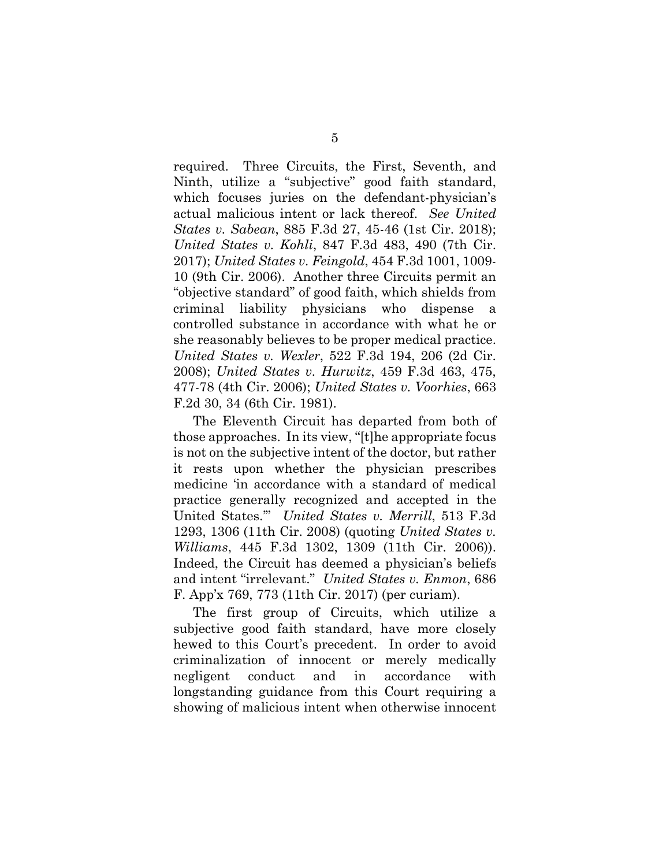required. Three Circuits, the First, Seventh, and Ninth, utilize a "subjective" good faith standard, which focuses juries on the defendant-physician's actual malicious intent or lack thereof. *See United States v. Sabean*, 885 F.3d 27, 45-46 (1st Cir. 2018); *United States v. Kohli*, 847 F.3d 483, 490 (7th Cir. 2017); *United States v. Feingold*, 454 F.3d 1001, 1009- 10 (9th Cir. 2006). Another three Circuits permit an "objective standard" of good faith, which shields from criminal liability physicians who dispense a controlled substance in accordance with what he or she reasonably believes to be proper medical practice. *United States v. Wexler*, 522 F.3d 194, 206 (2d Cir. 2008); *United States v. Hurwitz*, 459 F.3d 463, 475, 477-78 (4th Cir. 2006); *United States v. Voorhies*, 663 F.2d 30, 34 (6th Cir. 1981).

The Eleventh Circuit has departed from both of those approaches. In its view, "[t]he appropriate focus is not on the subjective intent of the doctor, but rather it rests upon whether the physician prescribes medicine 'in accordance with a standard of medical practice generally recognized and accepted in the United States.'" *United States v. Merrill*, 513 F.3d 1293, 1306 (11th Cir. 2008) (quoting *United States v. Williams*, 445 F.3d 1302, 1309 (11th Cir. 2006)). Indeed, the Circuit has deemed a physician's beliefs and intent "irrelevant." *United States v. Enmon*, 686 F. App'x 769, 773 (11th Cir. 2017) (per curiam).

The first group of Circuits, which utilize a subjective good faith standard, have more closely hewed to this Court's precedent. In order to avoid criminalization of innocent or merely medically negligent conduct and in accordance with longstanding guidance from this Court requiring a showing of malicious intent when otherwise innocent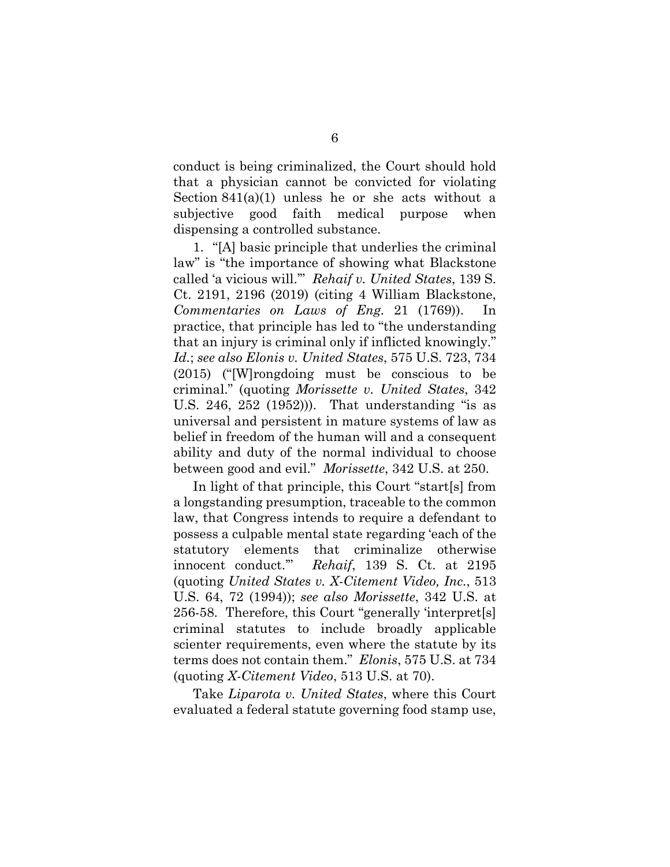conduct is being criminalized, the Court should hold that a physician cannot be convicted for violating Section  $841(a)(1)$  unless he or she acts without a subjective good faith medical purpose when dispensing a controlled substance.

1. "[A] basic principle that underlies the criminal law" is "the importance of showing what Blackstone called 'a vicious will.'" *Rehaif v. United States*, 139 S. Ct. 2191, 2196 (2019) (citing 4 William Blackstone, *Commentaries on Laws of Eng.* 21 (1769)). In practice, that principle has led to "the understanding that an injury is criminal only if inflicted knowingly." *Id.*; *see also Elonis v. United States*, 575 U.S. 723, 734 (2015) ("[W]rongdoing must be conscious to be criminal." (quoting *Morissette v. United States*, 342 U.S. 246, 252 (1952))). That understanding "is as universal and persistent in mature systems of law as belief in freedom of the human will and a consequent ability and duty of the normal individual to choose between good and evil." *Morissette*, 342 U.S. at 250.

In light of that principle, this Court "start[s] from a longstanding presumption, traceable to the common law, that Congress intends to require a defendant to possess a culpable mental state regarding 'each of the statutory elements that criminalize otherwise innocent conduct.'" *Rehaif*, 139 S. Ct. at 2195 (quoting *United States v. X-Citement Video, Inc.*, 513 U.S. 64, 72 (1994)); *see also Morissette*, 342 U.S. at 256-58. Therefore, this Court "generally 'interpret[s] criminal statutes to include broadly applicable scienter requirements, even where the statute by its terms does not contain them." *Elonis*, 575 U.S. at 734 (quoting *X-Citement Video*, 513 U.S. at 70).

Take *Liparota v. United States*, where this Court evaluated a federal statute governing food stamp use,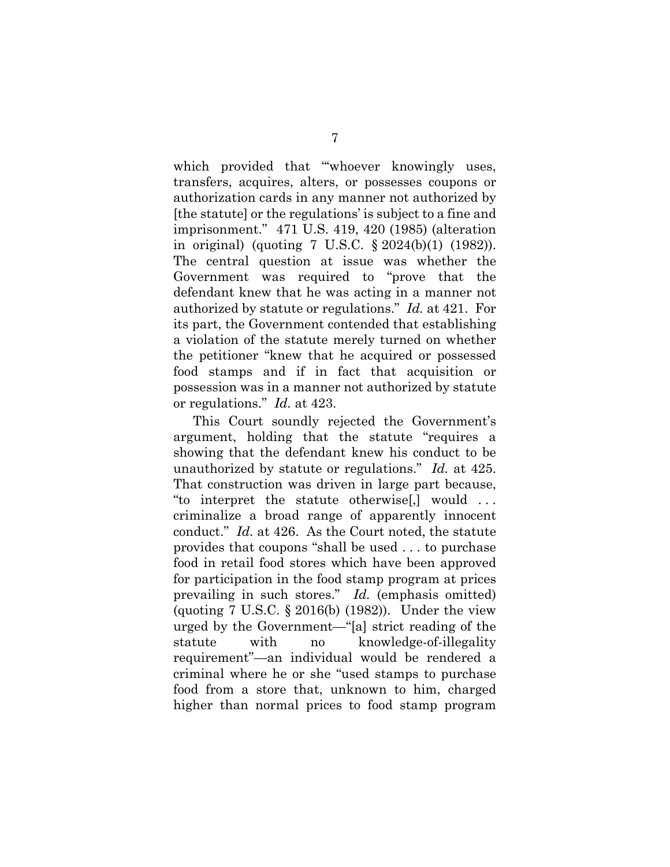which provided that "whoever knowingly uses, transfers, acquires, alters, or possesses coupons or authorization cards in any manner not authorized by [the statute] or the regulations' is subject to a fine and imprisonment." 471 U.S. 419, 420 (1985) (alteration in original) (quoting 7 U.S.C. § 2024(b)(1) (1982)). The central question at issue was whether the Government was required to "prove that the defendant knew that he was acting in a manner not authorized by statute or regulations." *Id.* at 421. For its part, the Government contended that establishing a violation of the statute merely turned on whether the petitioner "knew that he acquired or possessed food stamps and if in fact that acquisition or possession was in a manner not authorized by statute or regulations." *Id.* at 423.

This Court soundly rejected the Government's argument, holding that the statute "requires a showing that the defendant knew his conduct to be unauthorized by statute or regulations." *Id.* at 425. That construction was driven in large part because, "to interpret the statute otherwise[,] would . . . criminalize a broad range of apparently innocent conduct." *Id.* at 426. As the Court noted, the statute provides that coupons "shall be used . . . to purchase food in retail food stores which have been approved for participation in the food stamp program at prices prevailing in such stores." *Id.* (emphasis omitted) (quoting 7 U.S.C. § 2016(b) (1982)). Under the view urged by the Government—"[a] strict reading of the statute with no knowledge-of-illegality requirement"—an individual would be rendered a criminal where he or she "used stamps to purchase food from a store that, unknown to him, charged higher than normal prices to food stamp program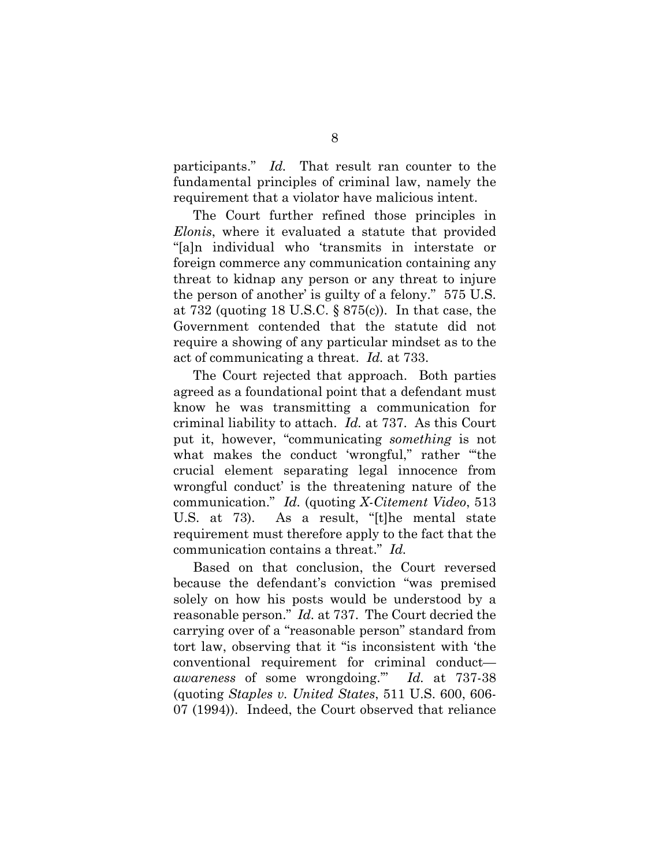participants." *Id.* That result ran counter to the fundamental principles of criminal law, namely the requirement that a violator have malicious intent.

The Court further refined those principles in *Elonis*, where it evaluated a statute that provided "[a]n individual who 'transmits in interstate or foreign commerce any communication containing any threat to kidnap any person or any threat to injure the person of another' is guilty of a felony." 575 U.S. at 732 (quoting 18 U.S.C. § 875(c)). In that case, the Government contended that the statute did not require a showing of any particular mindset as to the act of communicating a threat. *Id.* at 733.

The Court rejected that approach. Both parties agreed as a foundational point that a defendant must know he was transmitting a communication for criminal liability to attach. *Id.* at 737. As this Court put it, however, "communicating *something* is not what makes the conduct 'wrongful," rather "the crucial element separating legal innocence from wrongful conduct' is the threatening nature of the communication." *Id.* (quoting *X-Citement Video*, 513 U.S. at 73). As a result, "[t]he mental state requirement must therefore apply to the fact that the communication contains a threat." *Id.*

Based on that conclusion, the Court reversed because the defendant's conviction "was premised solely on how his posts would be understood by a reasonable person." *Id.* at 737. The Court decried the carrying over of a "reasonable person" standard from tort law, observing that it "is inconsistent with 'the conventional requirement for criminal conduct *awareness* of some wrongdoing.'" *Id.* at 737-38 (quoting *Staples v. United States*, 511 U.S. 600, 606- 07 (1994)). Indeed, the Court observed that reliance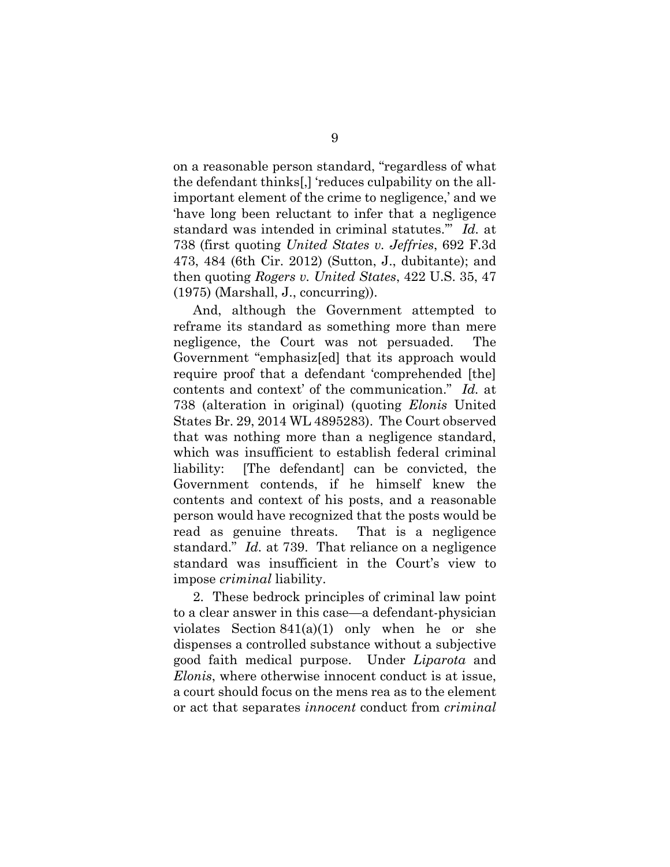on a reasonable person standard, "regardless of what the defendant thinks[,] 'reduces culpability on the allimportant element of the crime to negligence,' and we 'have long been reluctant to infer that a negligence standard was intended in criminal statutes.'" *Id.* at 738 (first quoting *United States v. Jeffries*, 692 F.3d 473, 484 (6th Cir. 2012) (Sutton, J., dubitante); and then quoting *Rogers v. United States*, 422 U.S. 35, 47 (1975) (Marshall, J., concurring)).

And, although the Government attempted to reframe its standard as something more than mere negligence, the Court was not persuaded. The Government "emphasiz[ed] that its approach would require proof that a defendant 'comprehended [the] contents and context' of the communication." *Id.* at 738 (alteration in original) (quoting *Elonis* United States Br. 29, 2014 WL 4895283). The Court observed that was nothing more than a negligence standard, which was insufficient to establish federal criminal liability: [The defendant] can be convicted, the Government contends, if he himself knew the contents and context of his posts, and a reasonable person would have recognized that the posts would be read as genuine threats. That is a negligence standard." *Id.* at 739. That reliance on a negligence standard was insufficient in the Court's view to impose *criminal* liability.

2. These bedrock principles of criminal law point to a clear answer in this case—a defendant-physician violates Section 841(a)(1) only when he or she dispenses a controlled substance without a subjective good faith medical purpose. Under *Liparota* and *Elonis*, where otherwise innocent conduct is at issue, a court should focus on the mens rea as to the element or act that separates *innocent* conduct from *criminal*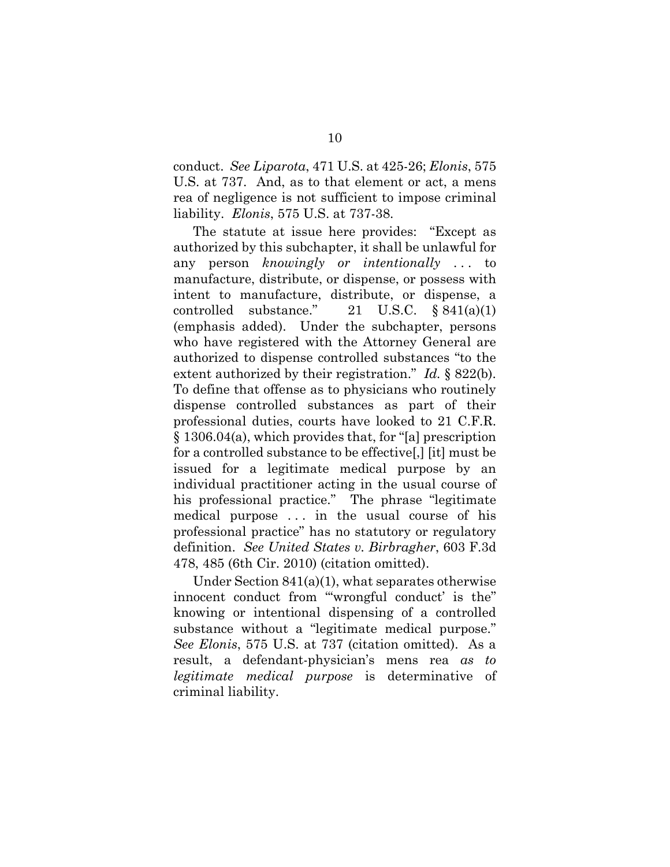conduct. *See Liparota*, 471 U.S. at 425-26; *Elonis*, 575 U.S. at 737. And, as to that element or act, a mens rea of negligence is not sufficient to impose criminal liability. *Elonis*, 575 U.S. at 737-38.

The statute at issue here provides: "Except as authorized by this subchapter, it shall be unlawful for any person *knowingly or intentionally* . . . to manufacture, distribute, or dispense, or possess with intent to manufacture, distribute, or dispense, a controlled substance."  $21$  U.S.C.  $§ 841(a)(1)$ (emphasis added). Under the subchapter, persons who have registered with the Attorney General are authorized to dispense controlled substances "to the extent authorized by their registration." *Id.* § 822(b). To define that offense as to physicians who routinely dispense controlled substances as part of their professional duties, courts have looked to 21 C.F.R. § 1306.04(a), which provides that, for "[a] prescription for a controlled substance to be effective[,] [it] must be issued for a legitimate medical purpose by an individual practitioner acting in the usual course of his professional practice." The phrase "legitimate medical purpose . . . in the usual course of his professional practice" has no statutory or regulatory definition. *See United States v. Birbragher*, 603 F.3d 478, 485 (6th Cir. 2010) (citation omitted).

Under Section 841(a)(1), what separates otherwise innocent conduct from "wrongful conduct' is the" knowing or intentional dispensing of a controlled substance without a "legitimate medical purpose." *See Elonis*, 575 U.S. at 737 (citation omitted). As a result, a defendant-physician's mens rea *as to legitimate medical purpose* is determinative of criminal liability.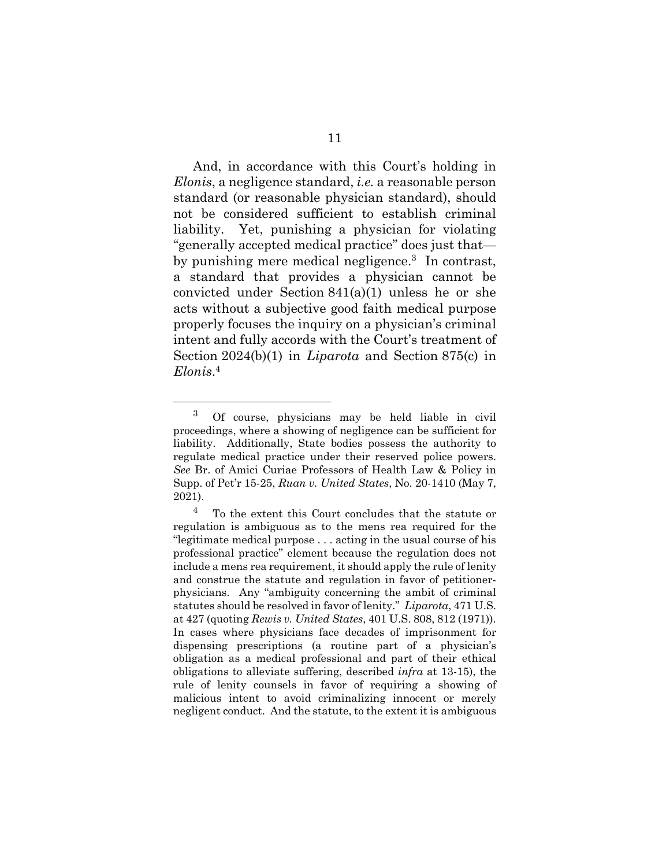And, in accordance with this Court's holding in *Elonis*, a negligence standard, *i.e.* a reasonable person standard (or reasonable physician standard), should not be considered sufficient to establish criminal liability. Yet, punishing a physician for violating "generally accepted medical practice" does just that by punishing mere medical negligence.3 In contrast, a standard that provides a physician cannot be convicted under Section 841(a)(1) unless he or she acts without a subjective good faith medical purpose properly focuses the inquiry on a physician's criminal intent and fully accords with the Court's treatment of Section 2024(b)(1) in *Liparota* and Section 875(c) in *Elonis*. 4

 <sup>3</sup> Of course, physicians may be held liable in civil proceedings, where a showing of negligence can be sufficient for liability. Additionally, State bodies possess the authority to regulate medical practice under their reserved police powers. *See* Br. of Amici Curiae Professors of Health Law & Policy in Supp. of Pet'r 15-25, *Ruan v. United States*, No. 20-1410 (May 7, 2021).

<sup>4</sup> To the extent this Court concludes that the statute or regulation is ambiguous as to the mens rea required for the "legitimate medical purpose . . . acting in the usual course of his professional practice" element because the regulation does not include a mens rea requirement, it should apply the rule of lenity and construe the statute and regulation in favor of petitionerphysicians. Any "ambiguity concerning the ambit of criminal statutes should be resolved in favor of lenity." *Liparota*, 471 U.S. at 427 (quoting *Rewis v. United States*, 401 U.S. 808, 812 (1971)). In cases where physicians face decades of imprisonment for dispensing prescriptions (a routine part of a physician's obligation as a medical professional and part of their ethical obligations to alleviate suffering, described *infra* at 13-15), the rule of lenity counsels in favor of requiring a showing of malicious intent to avoid criminalizing innocent or merely negligent conduct. And the statute, to the extent it is ambiguous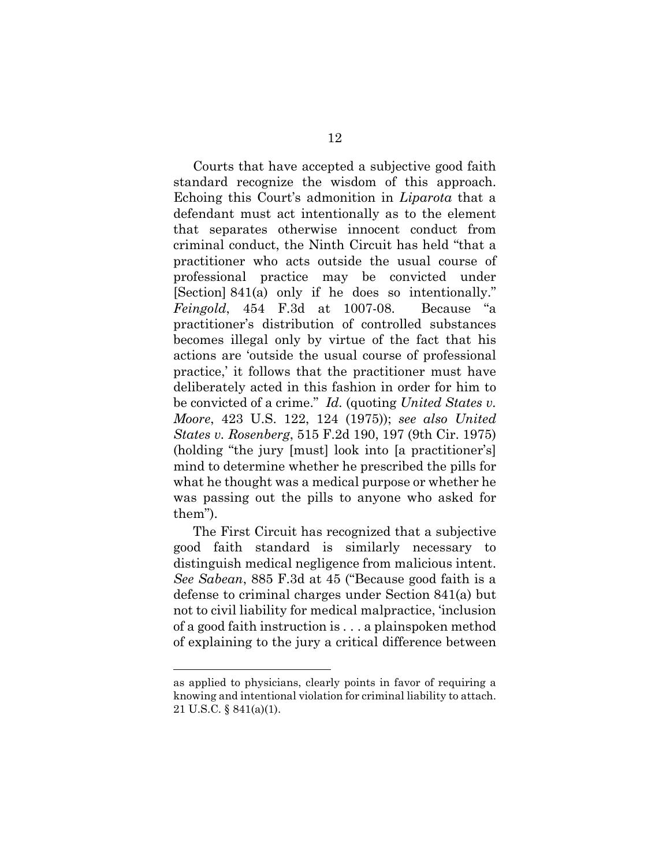Courts that have accepted a subjective good faith standard recognize the wisdom of this approach. Echoing this Court's admonition in *Liparota* that a defendant must act intentionally as to the element that separates otherwise innocent conduct from criminal conduct, the Ninth Circuit has held "that a practitioner who acts outside the usual course of professional practice may be convicted under [Section] 841(a) only if he does so intentionally." *Feingold*, 454 F.3d at 1007-08. Because "a practitioner's distribution of controlled substances becomes illegal only by virtue of the fact that his actions are 'outside the usual course of professional practice,' it follows that the practitioner must have deliberately acted in this fashion in order for him to be convicted of a crime." *Id.* (quoting *United States v. Moore*, 423 U.S. 122, 124 (1975)); *see also United States v. Rosenberg*, 515 F.2d 190, 197 (9th Cir. 1975) (holding "the jury [must] look into [a practitioner's] mind to determine whether he prescribed the pills for what he thought was a medical purpose or whether he was passing out the pills to anyone who asked for them").

The First Circuit has recognized that a subjective good faith standard is similarly necessary to distinguish medical negligence from malicious intent. *See Sabean*, 885 F.3d at 45 ("Because good faith is a defense to criminal charges under Section 841(a) but not to civil liability for medical malpractice, 'inclusion of a good faith instruction is . . . a plainspoken method of explaining to the jury a critical difference between

l

as applied to physicians, clearly points in favor of requiring a knowing and intentional violation for criminal liability to attach. 21 U.S.C. § 841(a)(1).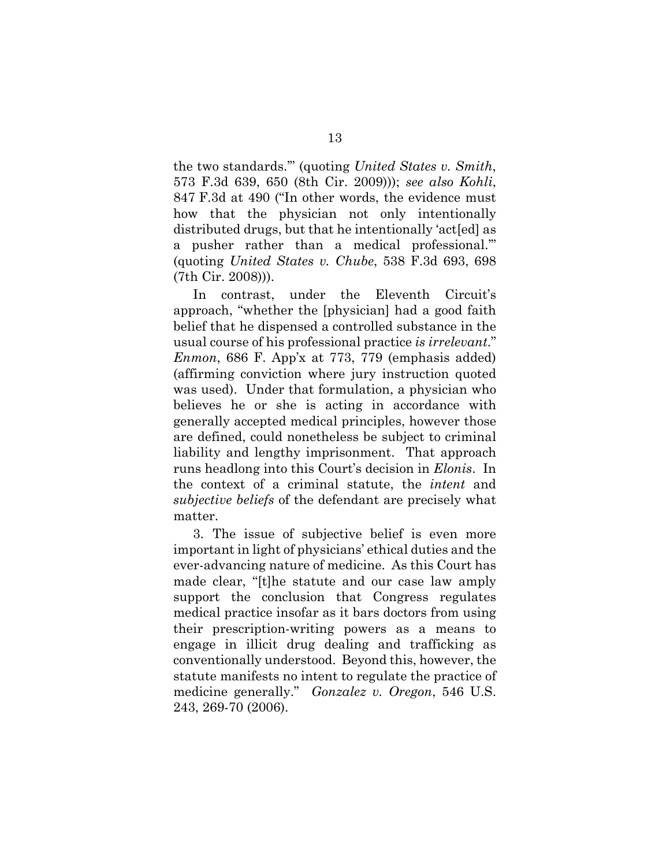the two standards.'" (quoting *United States v. Smith*, 573 F.3d 639, 650 (8th Cir. 2009))); *see also Kohli*, 847 F.3d at 490 ("In other words, the evidence must how that the physician not only intentionally distributed drugs, but that he intentionally 'act[ed] as a pusher rather than a medical professional.'" (quoting *United States v. Chube*, 538 F.3d 693, 698 (7th Cir. 2008))).

In contrast, under the Eleventh Circuit's approach, "whether the [physician] had a good faith belief that he dispensed a controlled substance in the usual course of his professional practice *is irrelevant*." *Enmon*, 686 F. App'x at 773, 779 (emphasis added) (affirming conviction where jury instruction quoted was used). Under that formulation, a physician who believes he or she is acting in accordance with generally accepted medical principles, however those are defined, could nonetheless be subject to criminal liability and lengthy imprisonment. That approach runs headlong into this Court's decision in *Elonis*. In the context of a criminal statute, the *intent* and *subjective beliefs* of the defendant are precisely what matter.

3. The issue of subjective belief is even more important in light of physicians' ethical duties and the ever-advancing nature of medicine. As this Court has made clear, "[t]he statute and our case law amply support the conclusion that Congress regulates medical practice insofar as it bars doctors from using their prescription-writing powers as a means to engage in illicit drug dealing and trafficking as conventionally understood. Beyond this, however, the statute manifests no intent to regulate the practice of medicine generally." *Gonzalez v. Oregon*, 546 U.S. 243, 269-70 (2006).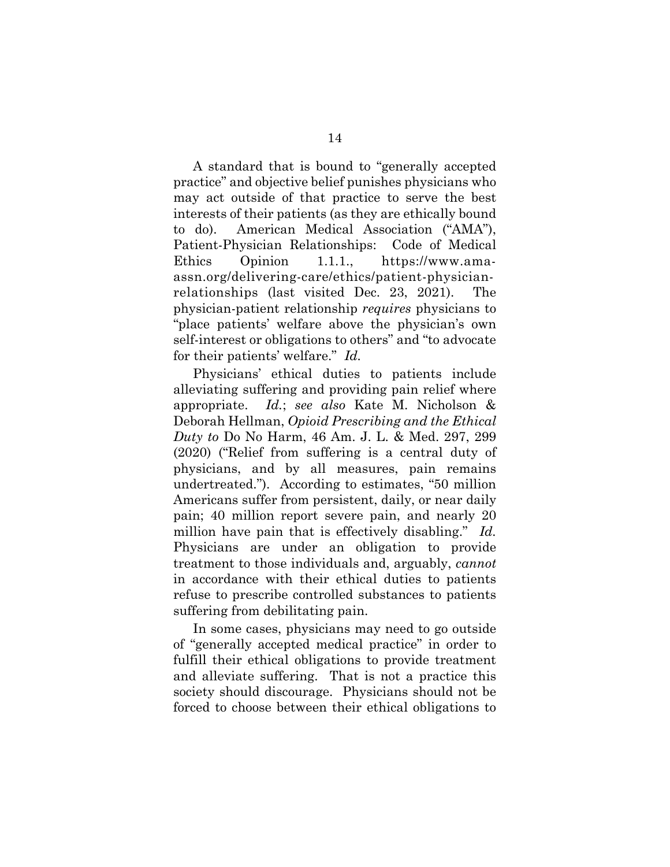A standard that is bound to "generally accepted practice" and objective belief punishes physicians who may act outside of that practice to serve the best interests of their patients (as they are ethically bound to do). American Medical Association ("AMA"), Patient-Physician Relationships: Code of Medical Ethics Opinion 1.1.1., https://www.amaassn.org/delivering-care/ethics/patient-physicianrelationships (last visited Dec. 23, 2021). The physician-patient relationship *requires* physicians to "place patients' welfare above the physician's own self-interest or obligations to others" and "to advocate for their patients' welfare." *Id.*

Physicians' ethical duties to patients include alleviating suffering and providing pain relief where appropriate. *Id.*; *see also* Kate M. Nicholson & Deborah Hellman, *Opioid Prescribing and the Ethical Duty to* Do No Harm, 46 Am. J. L. & Med. 297, 299 (2020) ("Relief from suffering is a central duty of physicians, and by all measures, pain remains undertreated."). According to estimates, "50 million Americans suffer from persistent, daily, or near daily pain; 40 million report severe pain, and nearly 20 million have pain that is effectively disabling." *Id.* Physicians are under an obligation to provide treatment to those individuals and, arguably, *cannot* in accordance with their ethical duties to patients refuse to prescribe controlled substances to patients suffering from debilitating pain.

In some cases, physicians may need to go outside of "generally accepted medical practice" in order to fulfill their ethical obligations to provide treatment and alleviate suffering. That is not a practice this society should discourage. Physicians should not be forced to choose between their ethical obligations to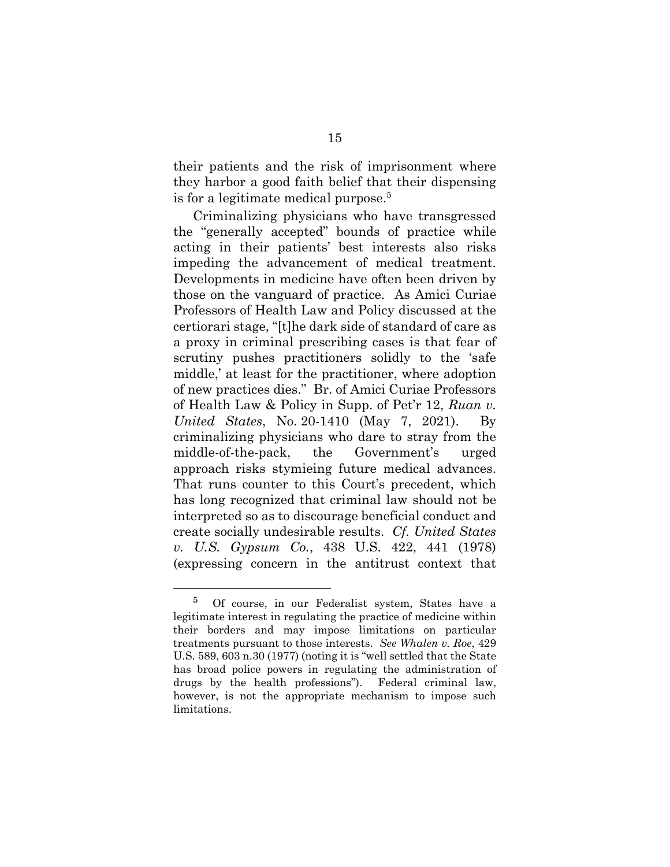their patients and the risk of imprisonment where they harbor a good faith belief that their dispensing is for a legitimate medical purpose.5

Criminalizing physicians who have transgressed the "generally accepted" bounds of practice while acting in their patients' best interests also risks impeding the advancement of medical treatment. Developments in medicine have often been driven by those on the vanguard of practice. As Amici Curiae Professors of Health Law and Policy discussed at the certiorari stage, "[t]he dark side of standard of care as a proxy in criminal prescribing cases is that fear of scrutiny pushes practitioners solidly to the 'safe middle,' at least for the practitioner, where adoption of new practices dies." Br. of Amici Curiae Professors of Health Law & Policy in Supp. of Pet'r 12, *Ruan v. United States*, No. 20-1410 (May 7, 2021). By criminalizing physicians who dare to stray from the middle-of-the-pack, the Government's urged approach risks stymieing future medical advances. That runs counter to this Court's precedent, which has long recognized that criminal law should not be interpreted so as to discourage beneficial conduct and create socially undesirable results. *Cf. United States v. U.S. Gypsum Co.*, 438 U.S. 422, 441 (1978) (expressing concern in the antitrust context that

 <sup>5</sup> Of course, in our Federalist system, States have a legitimate interest in regulating the practice of medicine within their borders and may impose limitations on particular treatments pursuant to those interests. *See Whalen v. Roe*, 429 U.S. 589, 603 n.30 (1977) (noting it is "well settled that the State has broad police powers in regulating the administration of drugs by the health professions"). Federal criminal law, however, is not the appropriate mechanism to impose such limitations.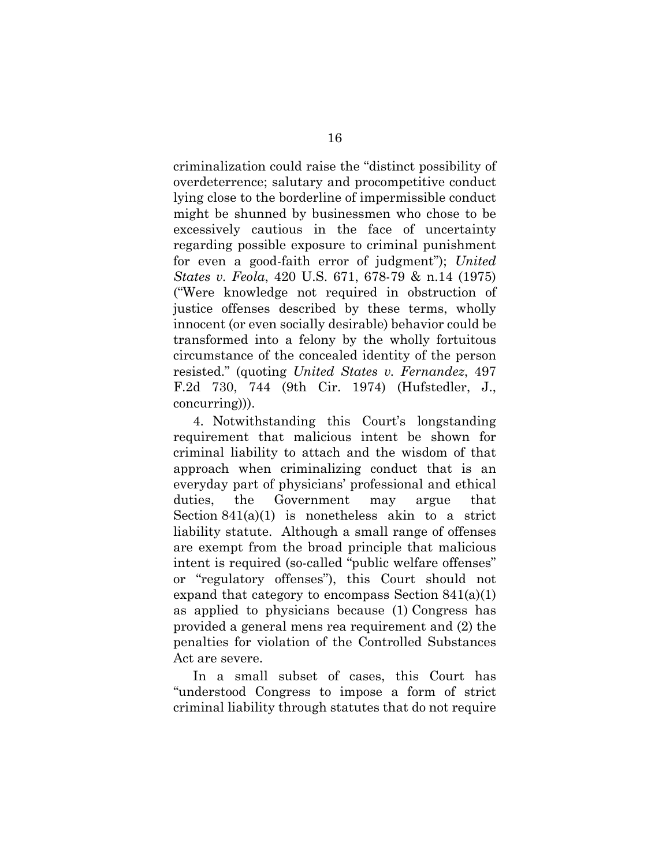criminalization could raise the "distinct possibility of overdeterrence; salutary and procompetitive conduct lying close to the borderline of impermissible conduct might be shunned by businessmen who chose to be excessively cautious in the face of uncertainty regarding possible exposure to criminal punishment for even a good-faith error of judgment"); *United States v. Feola*, 420 U.S. 671, 678-79 & n.14 (1975) ("Were knowledge not required in obstruction of justice offenses described by these terms, wholly innocent (or even socially desirable) behavior could be transformed into a felony by the wholly fortuitous circumstance of the concealed identity of the person resisted." (quoting *United States v. Fernandez*, 497 F.2d 730, 744 (9th Cir. 1974) (Hufstedler, J., concurring))).

4. Notwithstanding this Court's longstanding requirement that malicious intent be shown for criminal liability to attach and the wisdom of that approach when criminalizing conduct that is an everyday part of physicians' professional and ethical duties, the Government may argue that Section  $841(a)(1)$  is nonetheless akin to a strict liability statute. Although a small range of offenses are exempt from the broad principle that malicious intent is required (so-called "public welfare offenses" or "regulatory offenses"), this Court should not expand that category to encompass Section 841(a)(1) as applied to physicians because (1) Congress has provided a general mens rea requirement and (2) the penalties for violation of the Controlled Substances Act are severe.

In a small subset of cases, this Court has "understood Congress to impose a form of strict criminal liability through statutes that do not require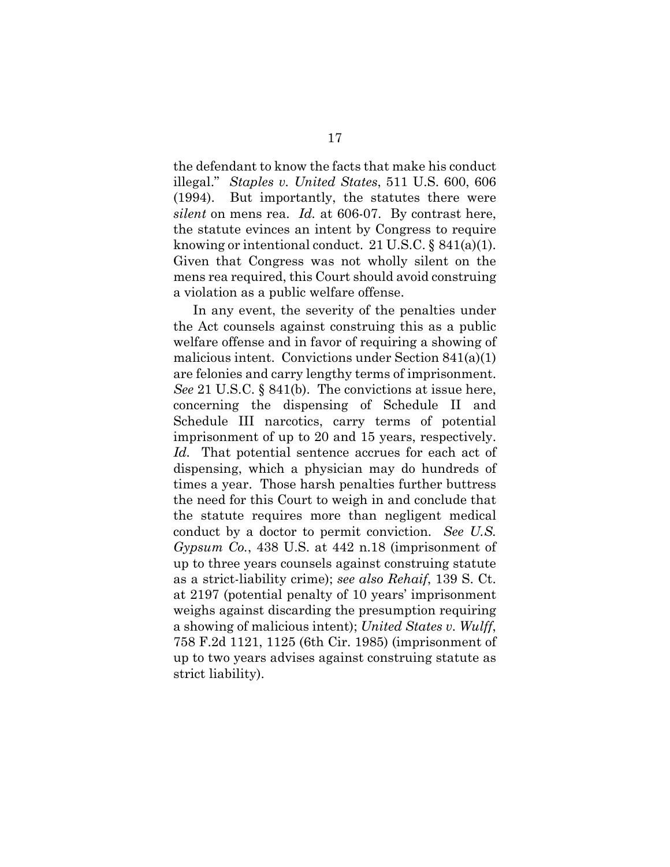the defendant to know the facts that make his conduct illegal." *Staples v. United States*, 511 U.S. 600, 606 (1994). But importantly, the statutes there were *silent* on mens rea. *Id.* at 606-07. By contrast here, the statute evinces an intent by Congress to require knowing or intentional conduct. 21 U.S.C. § 841(a)(1). Given that Congress was not wholly silent on the mens rea required, this Court should avoid construing a violation as a public welfare offense.

In any event, the severity of the penalties under the Act counsels against construing this as a public welfare offense and in favor of requiring a showing of malicious intent.Convictions under Section 841(a)(1) are felonies and carry lengthy terms of imprisonment. *See* 21 U.S.C. § 841(b). The convictions at issue here, concerning the dispensing of Schedule II and Schedule III narcotics, carry terms of potential imprisonment of up to 20 and 15 years, respectively. *Id.* That potential sentence accrues for each act of dispensing, which a physician may do hundreds of times a year. Those harsh penalties further buttress the need for this Court to weigh in and conclude that the statute requires more than negligent medical conduct by a doctor to permit conviction. *See U.S. Gypsum Co.*, 438 U.S. at 442 n.18 (imprisonment of up to three years counsels against construing statute as a strict-liability crime); *see also Rehaif*, 139 S. Ct. at 2197 (potential penalty of 10 years' imprisonment weighs against discarding the presumption requiring a showing of malicious intent); *United States v. Wulff*, 758 F.2d 1121, 1125 (6th Cir. 1985) (imprisonment of up to two years advises against construing statute as strict liability).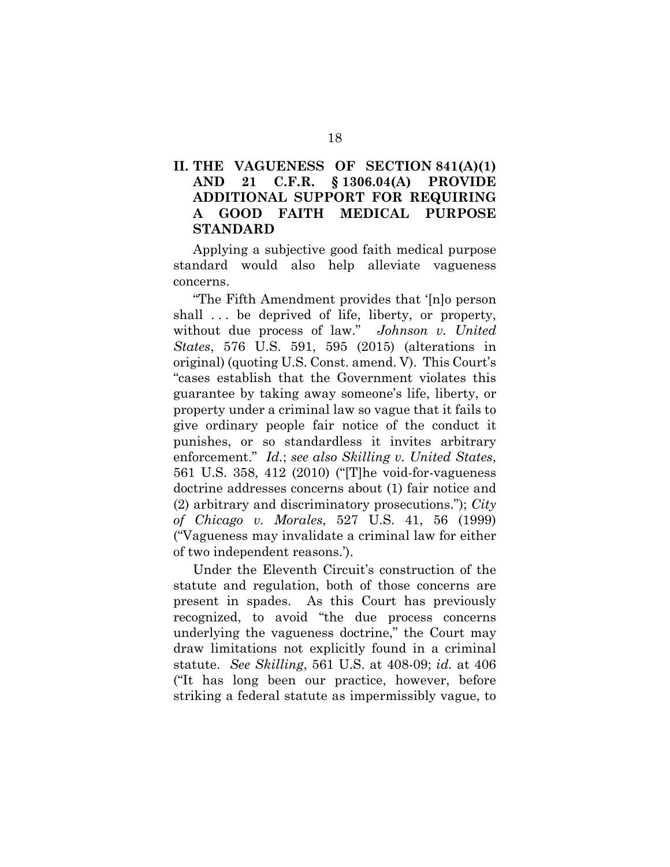### **II. THE VAGUENESS OF SECTION 841(A)(1) AND 21 C.F.R. § 1306.04(A) PROVIDE ADDITIONAL SUPPORT FOR REQUIRING A GOOD FAITH MEDICAL PURPOSE STANDARD**

Applying a subjective good faith medical purpose standard would also help alleviate vagueness concerns.

"The Fifth Amendment provides that '[n]o person shall . . . be deprived of life, liberty, or property, without due process of law." *Johnson v. United States*, 576 U.S. 591, 595 (2015) (alterations in original) (quoting U.S. Const. amend. V). This Court's "cases establish that the Government violates this guarantee by taking away someone's life, liberty, or property under a criminal law so vague that it fails to give ordinary people fair notice of the conduct it punishes, or so standardless it invites arbitrary enforcement." *Id.*; *see also Skilling v. United States*, 561 U.S. 358, 412 (2010) ("[T]he void-for-vagueness doctrine addresses concerns about (1) fair notice and (2) arbitrary and discriminatory prosecutions."); *City of Chicago v. Morales*, 527 U.S. 41, 56 (1999) ("Vagueness may invalidate a criminal law for either of two independent reasons.').

Under the Eleventh Circuit's construction of the statute and regulation, both of those concerns are present in spades. As this Court has previously recognized, to avoid "the due process concerns underlying the vagueness doctrine," the Court may draw limitations not explicitly found in a criminal statute. *See Skilling*, 561 U.S. at 408-09; *id.* at 406 ("It has long been our practice, however, before striking a federal statute as impermissibly vague, to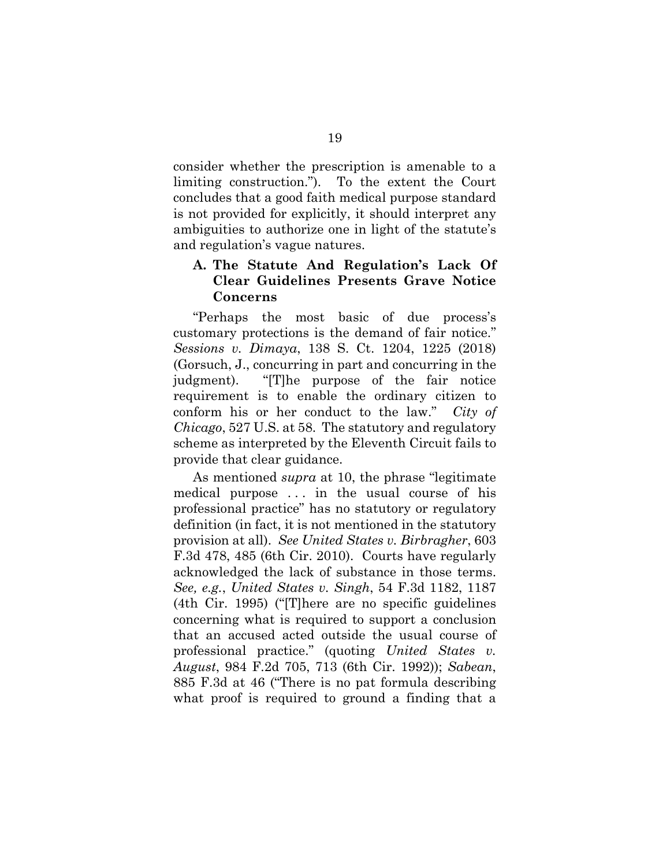consider whether the prescription is amenable to a limiting construction."). To the extent the Court concludes that a good faith medical purpose standard is not provided for explicitly, it should interpret any ambiguities to authorize one in light of the statute's and regulation's vague natures.

### **A. The Statute And Regulation's Lack Of Clear Guidelines Presents Grave Notice Concerns**

"Perhaps the most basic of due process's customary protections is the demand of fair notice." *Sessions v. Dimaya*, 138 S. Ct. 1204, 1225 (2018) (Gorsuch, J., concurring in part and concurring in the judgment). "[T]he purpose of the fair notice requirement is to enable the ordinary citizen to conform his or her conduct to the law." *City of Chicago*, 527 U.S. at 58. The statutory and regulatory scheme as interpreted by the Eleventh Circuit fails to provide that clear guidance.

As mentioned *supra* at 10, the phrase "legitimate medical purpose . . . in the usual course of his professional practice" has no statutory or regulatory definition (in fact, it is not mentioned in the statutory provision at all). *See United States v. Birbragher*, 603 F.3d 478, 485 (6th Cir. 2010). Courts have regularly acknowledged the lack of substance in those terms. *See, e.g.*, *United States v. Singh*, 54 F.3d 1182, 1187 (4th Cir. 1995) ("[T]here are no specific guidelines concerning what is required to support a conclusion that an accused acted outside the usual course of professional practice." (quoting *United States v. August*, 984 F.2d 705, 713 (6th Cir. 1992)); *Sabean*, 885 F.3d at 46 ("There is no pat formula describing what proof is required to ground a finding that a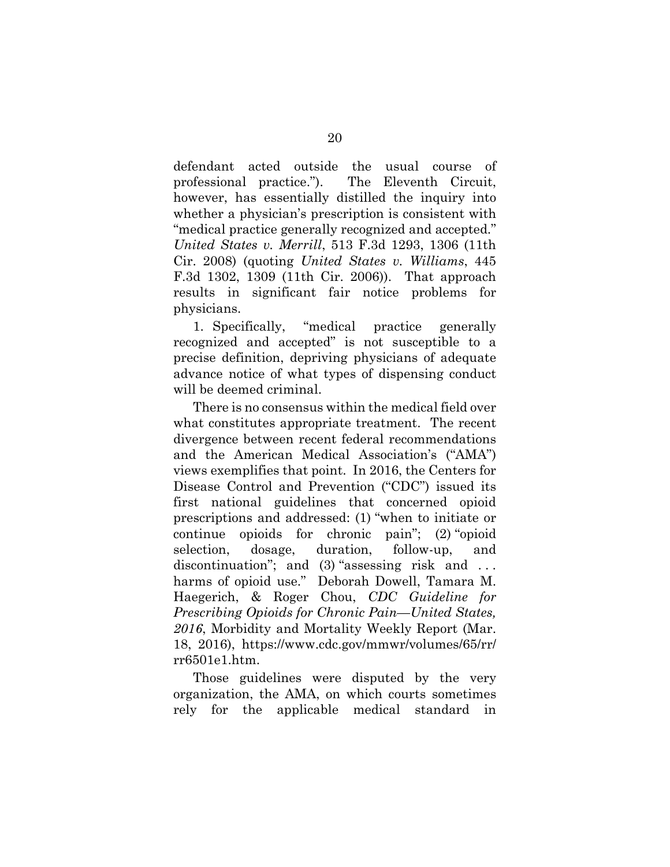defendant acted outside the usual course of professional practice."). The Eleventh Circuit, however, has essentially distilled the inquiry into whether a physician's prescription is consistent with "medical practice generally recognized and accepted." *United States v. Merrill*, 513 F.3d 1293, 1306 (11th Cir. 2008) (quoting *United States v. Williams*, 445 F.3d 1302, 1309 (11th Cir. 2006)). That approach results in significant fair notice problems for physicians.

1. Specifically, "medical practice generally recognized and accepted" is not susceptible to a precise definition, depriving physicians of adequate advance notice of what types of dispensing conduct will be deemed criminal.

There is no consensus within the medical field over what constitutes appropriate treatment. The recent divergence between recent federal recommendations and the American Medical Association's ("AMA") views exemplifies that point. In 2016, the Centers for Disease Control and Prevention ("CDC") issued its first national guidelines that concerned opioid prescriptions and addressed: (1) "when to initiate or continue opioids for chronic pain"; (2) "opioid selection, dosage, duration, follow-up, and discontinuation"; and (3) "assessing risk and ... harms of opioid use." Deborah Dowell, Tamara M. Haegerich, & Roger Chou, *CDC Guideline for Prescribing Opioids for Chronic Pain—United States, 2016*, Morbidity and Mortality Weekly Report (Mar. 18, 2016), https://www.cdc.gov/mmwr/volumes/65/rr/ rr6501e1.htm.

Those guidelines were disputed by the very organization, the AMA, on which courts sometimes rely for the applicable medical standard in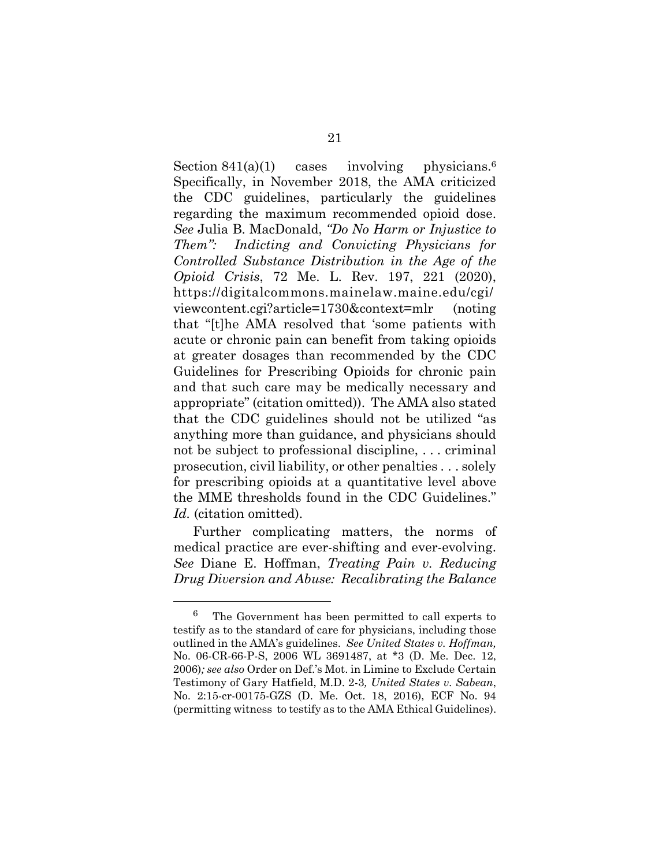Section  $841(a)(1)$  cases involving physicians.<sup>6</sup> Specifically, in November 2018, the AMA criticized the CDC guidelines, particularly the guidelines regarding the maximum recommended opioid dose. *See* Julia B. MacDonald, *"Do No Harm or Injustice to Them": Indicting and Convicting Physicians for Controlled Substance Distribution in the Age of the Opioid Crisis*, 72 Me. L. Rev. 197, 221 (2020), https://digitalcommons.mainelaw.maine.edu/cgi/ viewcontent.cgi?article=1730&context=mlr (noting that "[t]he AMA resolved that 'some patients with acute or chronic pain can benefit from taking opioids at greater dosages than recommended by the CDC Guidelines for Prescribing Opioids for chronic pain and that such care may be medically necessary and appropriate" (citation omitted)). The AMA also stated that the CDC guidelines should not be utilized "as anything more than guidance, and physicians should not be subject to professional discipline, . . . criminal prosecution, civil liability, or other penalties . . . solely for prescribing opioids at a quantitative level above the MME thresholds found in the CDC Guidelines." *Id.* (citation omitted).

Further complicating matters, the norms of medical practice are ever-shifting and ever-evolving. *See* Diane E. Hoffman, *Treating Pain v. Reducing Drug Diversion and Abuse: Recalibrating the Balance* 

 <sup>6</sup> The Government has been permitted to call experts to testify as to the standard of care for physicians, including those outlined in the AMA's guidelines. *See United States v. Hoffman,*  No. 06-CR-66-P-S, 2006 WL 3691487, at \*3 (D. Me. Dec. 12, 2006)*; see also* Order on Def.'s Mot. in Limine to Exclude Certain Testimony of Gary Hatfield, M.D. 2-3*, United States v. Sabean*, No. 2:15-cr-00175-GZS (D. Me. Oct. 18, 2016), ECF No. 94 (permitting witness to testify as to the AMA Ethical Guidelines).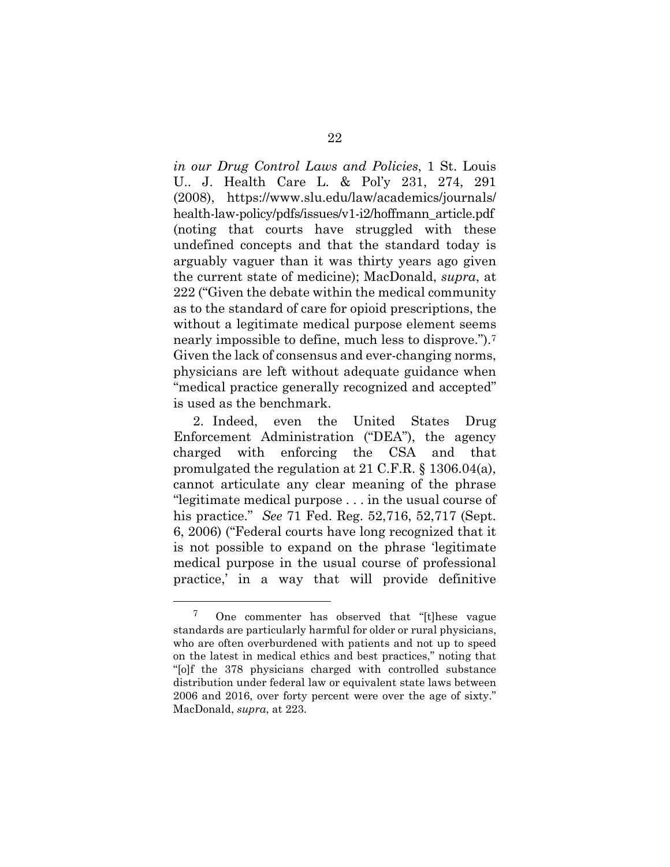*in our Drug Control Laws and Policies*, 1 St. Louis U.. J. Health Care L. & Pol'y 231, 274, 291 (2008), https://www.slu.edu/law/academics/journals/ health-law-policy/pdfs/issues/v1-i2/hoffmann\_article.pdf (noting that courts have struggled with these undefined concepts and that the standard today is arguably vaguer than it was thirty years ago given the current state of medicine); MacDonald, *supra*, at 222 ("Given the debate within the medical community as to the standard of care for opioid prescriptions, the without a legitimate medical purpose element seems nearly impossible to define, much less to disprove.").7 Given the lack of consensus and ever-changing norms, physicians are left without adequate guidance when "medical practice generally recognized and accepted" is used as the benchmark.

2. Indeed, even the United States Drug Enforcement Administration ("DEA"), the agency charged with enforcing the CSA and that promulgated the regulation at 21 C.F.R. § 1306.04(a), cannot articulate any clear meaning of the phrase "legitimate medical purpose . . . in the usual course of his practice." *See* 71 Fed. Reg. 52,716, 52,717 (Sept. 6, 2006) ("Federal courts have long recognized that it is not possible to expand on the phrase 'legitimate medical purpose in the usual course of professional practice,' in a way that will provide definitive

 <sup>7</sup> One commenter has observed that "[t]hese vague standards are particularly harmful for older or rural physicians, who are often overburdened with patients and not up to speed on the latest in medical ethics and best practices," noting that "[o]f the 378 physicians charged with controlled substance distribution under federal law or equivalent state laws between 2006 and 2016, over forty percent were over the age of sixty." MacDonald, *supra*, at 223.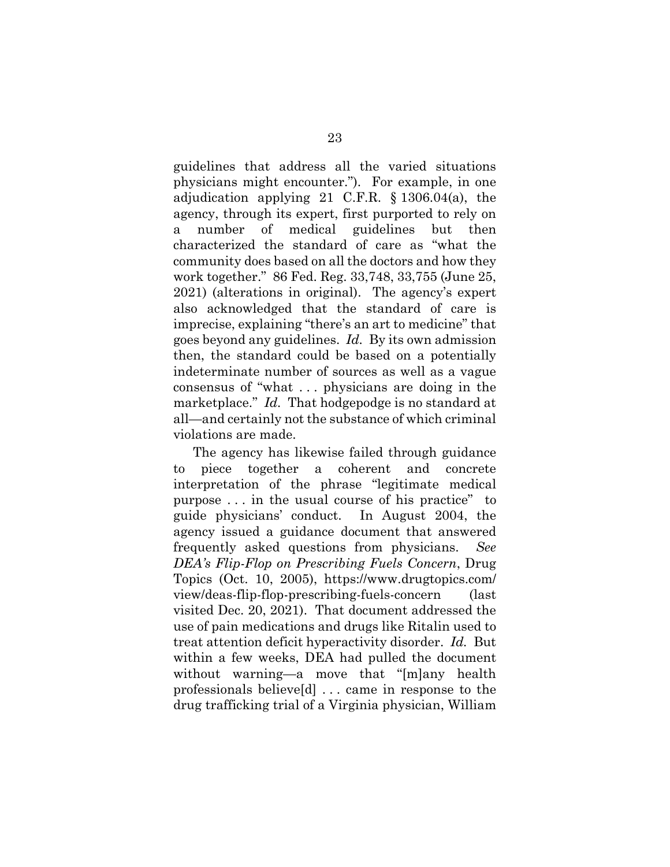guidelines that address all the varied situations physicians might encounter."). For example, in one adjudication applying 21 C.F.R. § 1306.04(a), the agency, through its expert, first purported to rely on a number of medical guidelines but then characterized the standard of care as "what the community does based on all the doctors and how they work together." 86 Fed. Reg. 33,748, 33,755 (June 25, 2021) (alterations in original). The agency's expert also acknowledged that the standard of care is imprecise, explaining "there's an art to medicine" that goes beyond any guidelines. *Id.* By its own admission then, the standard could be based on a potentially indeterminate number of sources as well as a vague consensus of "what . . . physicians are doing in the marketplace." *Id.* That hodgepodge is no standard at all—and certainly not the substance of which criminal violations are made.

The agency has likewise failed through guidance to piece together a coherent and concrete interpretation of the phrase "legitimate medical purpose . . . in the usual course of his practice" to guide physicians' conduct. In August 2004, the agency issued a guidance document that answered frequently asked questions from physicians. *See DEA's Flip-Flop on Prescribing Fuels Concern*, Drug Topics (Oct. 10, 2005), https://www.drugtopics.com/ view/deas-flip-flop-prescribing-fuels-concern (last visited Dec. 20, 2021). That document addressed the use of pain medications and drugs like Ritalin used to treat attention deficit hyperactivity disorder. *Id.* But within a few weeks, DEA had pulled the document without warning—a move that "[m]any health professionals believe[d] . . . came in response to the drug trafficking trial of a Virginia physician, William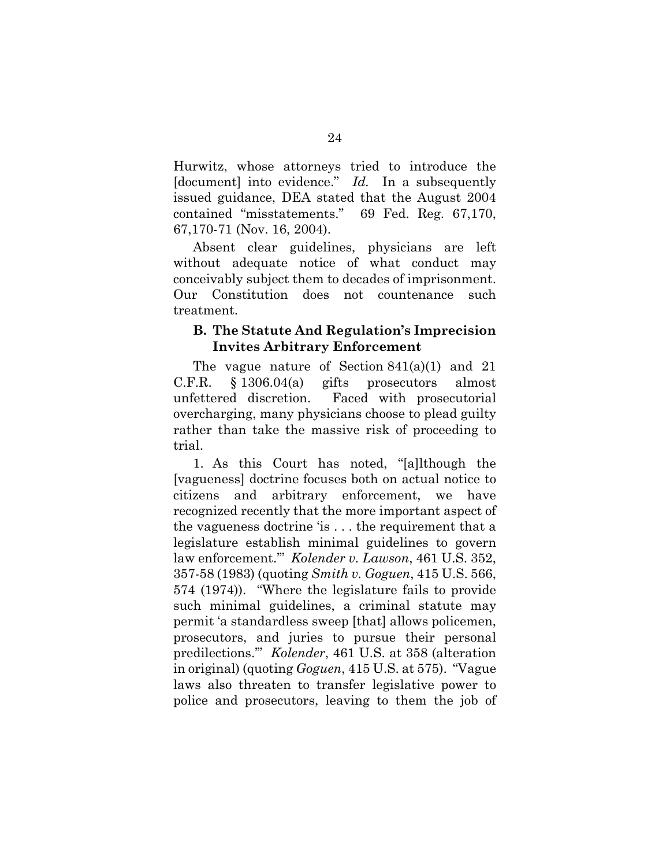Hurwitz, whose attorneys tried to introduce the [document] into evidence." *Id.* In a subsequently issued guidance, DEA stated that the August 2004 contained "misstatements." 69 Fed. Reg. 67,170, 67,170-71 (Nov. 16, 2004).

Absent clear guidelines, physicians are left without adequate notice of what conduct may conceivably subject them to decades of imprisonment. Our Constitution does not countenance such treatment.

### **B. The Statute And Regulation's Imprecision Invites Arbitrary Enforcement**

The vague nature of Section 841(a)(1) and 21 C.F.R. § 1306.04(a) gifts prosecutors almost unfettered discretion. Faced with prosecutorial overcharging, many physicians choose to plead guilty rather than take the massive risk of proceeding to trial.

1. As this Court has noted, "[a]lthough the [vagueness] doctrine focuses both on actual notice to citizens and arbitrary enforcement, we have recognized recently that the more important aspect of the vagueness doctrine 'is . . . the requirement that a legislature establish minimal guidelines to govern law enforcement.'" *Kolender v. Lawson*, 461 U.S. 352, 357-58 (1983) (quoting *Smith v. Goguen*, 415 U.S. 566, 574 (1974)). "Where the legislature fails to provide such minimal guidelines, a criminal statute may permit 'a standardless sweep [that] allows policemen, prosecutors, and juries to pursue their personal predilections.'" *Kolender*, 461 U.S. at 358 (alteration in original) (quoting *Goguen*, 415 U.S. at 575). "Vague laws also threaten to transfer legislative power to police and prosecutors, leaving to them the job of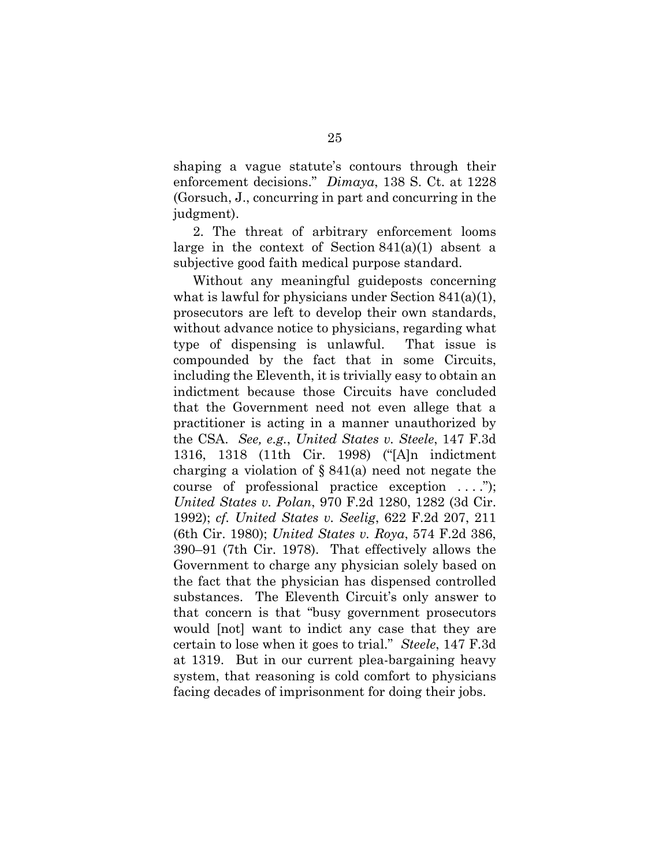shaping a vague statute's contours through their enforcement decisions." *Dimaya*, 138 S. Ct. at 1228 (Gorsuch, J., concurring in part and concurring in the judgment).

2. The threat of arbitrary enforcement looms large in the context of Section  $841(a)(1)$  absent a subjective good faith medical purpose standard.

Without any meaningful guideposts concerning what is lawful for physicians under Section 841(a)(1), prosecutors are left to develop their own standards, without advance notice to physicians, regarding what type of dispensing is unlawful. That issue is compounded by the fact that in some Circuits, including the Eleventh, it is trivially easy to obtain an indictment because those Circuits have concluded that the Government need not even allege that a practitioner is acting in a manner unauthorized by the CSA. *See, e.g.*, *United States v. Steele*, 147 F.3d 1316, 1318 (11th Cir. 1998) ("[A]n indictment charging a violation of  $\S 841(a)$  need not negate the course of professional practice exception . . . ."); *United States v. Polan*, 970 F.2d 1280, 1282 (3d Cir. 1992); *cf. United States v. Seelig*, 622 F.2d 207, 211 (6th Cir. 1980); *United States v. Roya*, 574 F.2d 386, 390–91 (7th Cir. 1978). That effectively allows the Government to charge any physician solely based on the fact that the physician has dispensed controlled substances. The Eleventh Circuit's only answer to that concern is that "busy government prosecutors would [not] want to indict any case that they are certain to lose when it goes to trial." *Steele*, 147 F.3d at 1319. But in our current plea-bargaining heavy system, that reasoning is cold comfort to physicians facing decades of imprisonment for doing their jobs.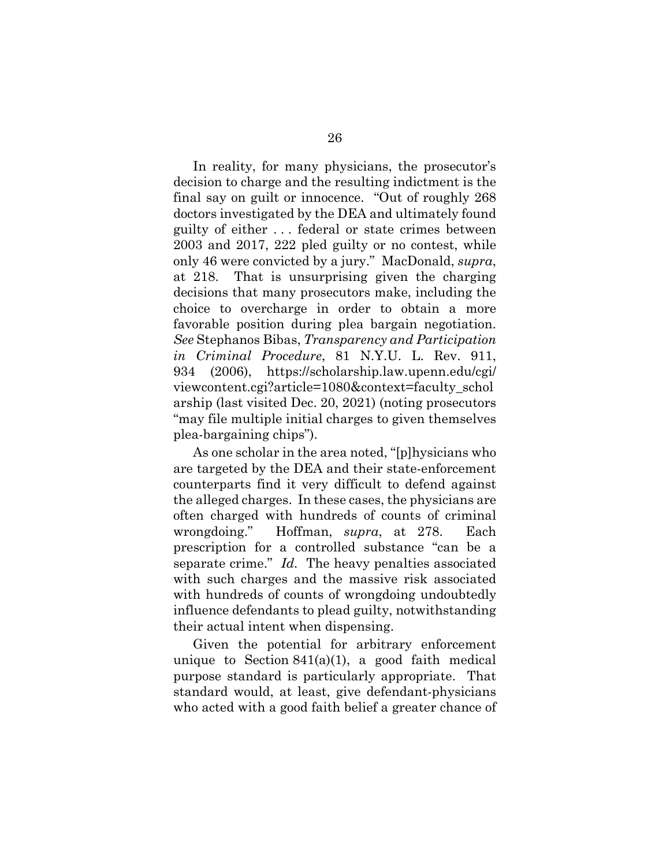In reality, for many physicians, the prosecutor's decision to charge and the resulting indictment is the final say on guilt or innocence. "Out of roughly 268 doctors investigated by the DEA and ultimately found guilty of either . . . federal or state crimes between 2003 and 2017, 222 pled guilty or no contest, while only 46 were convicted by a jury." MacDonald, *supra*, at 218. That is unsurprising given the charging decisions that many prosecutors make, including the choice to overcharge in order to obtain a more favorable position during plea bargain negotiation. *See* Stephanos Bibas, *Transparency and Participation in Criminal Procedure*, 81 N.Y.U. L. Rev. 911, 934 (2006), https://scholarship.law.upenn.edu/cgi/ viewcontent.cgi?article=1080&context=faculty\_schol arship (last visited Dec. 20, 2021) (noting prosecutors "may file multiple initial charges to given themselves plea-bargaining chips").

As one scholar in the area noted, "[p]hysicians who are targeted by the DEA and their state-enforcement counterparts find it very difficult to defend against the alleged charges. In these cases, the physicians are often charged with hundreds of counts of criminal wrongdoing." Hoffman, *supra*, at 278. Each prescription for a controlled substance "can be a separate crime." *Id.* The heavy penalties associated with such charges and the massive risk associated with hundreds of counts of wrongdoing undoubtedly influence defendants to plead guilty, notwithstanding their actual intent when dispensing.

Given the potential for arbitrary enforcement unique to Section  $841(a)(1)$ , a good faith medical purpose standard is particularly appropriate. That standard would, at least, give defendant-physicians who acted with a good faith belief a greater chance of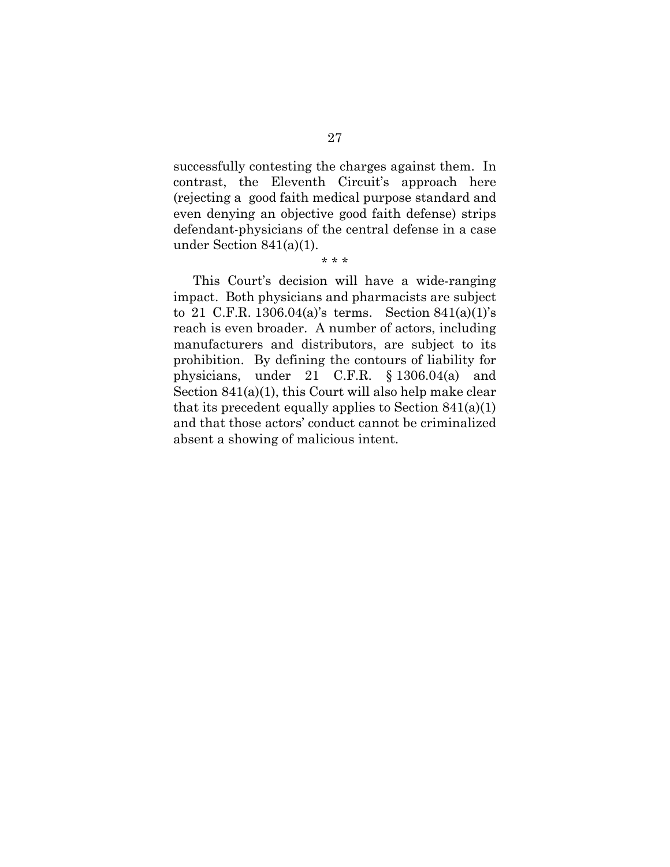successfully contesting the charges against them. In contrast, the Eleventh Circuit's approach here (rejecting a good faith medical purpose standard and even denying an objective good faith defense) strips defendant-physicians of the central defense in a case under Section 841(a)(1).

\* \* \*

This Court's decision will have a wide-ranging impact. Both physicians and pharmacists are subject to 21 C.F.R. 1306.04(a)'s terms. Section 841(a)(1)'s reach is even broader. A number of actors, including manufacturers and distributors, are subject to its prohibition. By defining the contours of liability for physicians, under 21 C.F.R. § 1306.04(a) and Section 841(a)(1), this Court will also help make clear that its precedent equally applies to Section  $841(a)(1)$ and that those actors' conduct cannot be criminalized absent a showing of malicious intent.